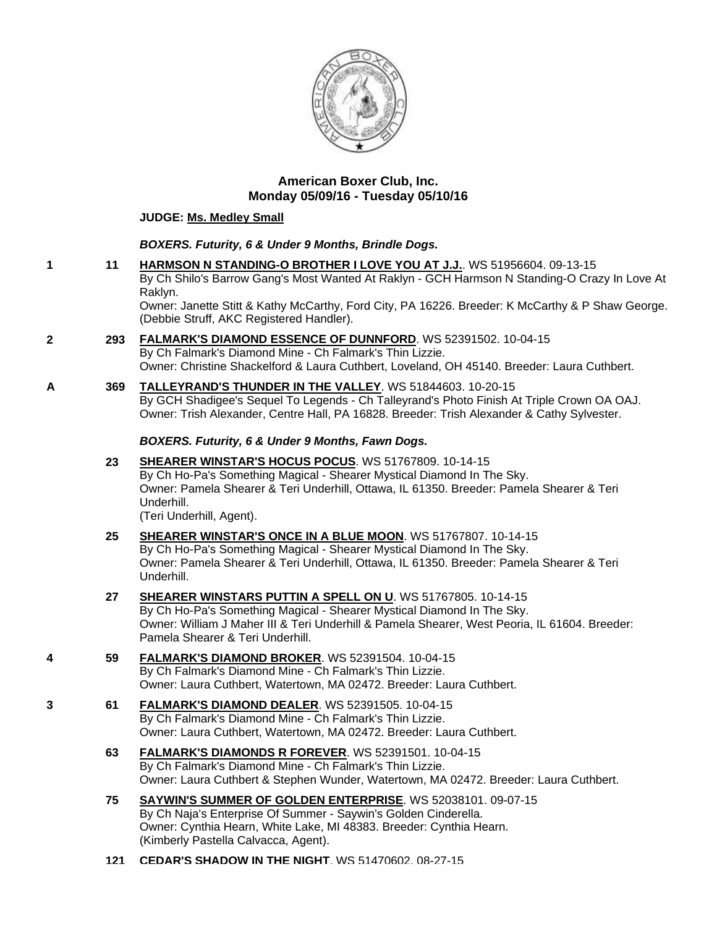

## **American Boxer Club, Inc. Monday 05/09/16 - Tuesday 05/10/16**

#### **JUDGE: [Ms. Medley Small](http://infodog.com/show/judge/jdgprofile.htm?jn=9924)**

## *BOXERS. Futurity, 6 & Under 9 Months, Brindle Dogs.*

**1 11 [HARMSON N STANDING-O BROTHER I LOVE YOU AT J.J.](http://infodog.com/my/drlookup2.htm?makc=WS%2051956604&mdog=Harmson+N+Standing-O+Brother+I+Love+You+At+J.J.&wins=all)**. WS 51956604. 09-13-15 By Ch Shilo's Barrow Gang's Most Wanted At Raklyn - GCH Harmson N Standing-O Crazy In Love At Raklyn.

Owner: Janette Stitt & Kathy McCarthy, Ford City, PA 16226. Breeder: K McCarthy & P Shaw George. (Debbie Struff, AKC Registered Handler).

- **2 293 [FALMARK'S DIAMOND ESSENCE OF DUNNFORD](http://infodog.com/my/drlookup2.htm?makc=WS%2052391502&mdog=Falmark%27s+Diamond+Essence+Of+Dunnford&wins=all)**. WS 52391502. 10-04-15 By Ch Falmark's Diamond Mine - Ch Falmark's Thin Lizzie. Owner: Christine Shackelford & Laura Cuthbert, Loveland, OH 45140. Breeder: Laura Cuthbert.
- **A 369 [TALLEYRAND'S THUNDER IN THE VALLEY](http://infodog.com/my/drlookup2.htm?makc=WS%2051844603&mdog=Talleyrand%27s+Thunder+In+The+Valley&wins=all)**. WS 51844603. 10-20-15 By GCH Shadigee's Sequel To Legends - Ch Talleyrand's Photo Finish At Triple Crown OA OAJ. Owner: Trish Alexander, Centre Hall, PA 16828. Breeder: Trish Alexander & Cathy Sylvester.

## *BOXERS. Futurity, 6 & Under 9 Months, Fawn Dogs.*

**23 [SHEARER WINSTAR'S HOCUS POCUS](http://infodog.com/my/drlookup2.htm?makc=WS%2051767809&mdog=Shearer+Winstar%27s+Hocus+Pocus&wins=all)**. WS 51767809. 10-14-15 By Ch Ho-Pa's Something Magical - Shearer Mystical Diamond In The Sky. Owner: Pamela Shearer & Teri Underhill, Ottawa, IL 61350. Breeder: Pamela Shearer & Teri Underhill. (Teri Underhill, Agent).

- **25 [SHEARER WINSTAR'S ONCE IN A BLUE MOON](http://infodog.com/my/drlookup2.htm?makc=WS%2051767807&mdog=Shearer+Winstar%27s+Once+In+A+Blue+Moon&wins=all)**. WS 51767807. 10-14-15 By Ch Ho-Pa's Something Magical - Shearer Mystical Diamond In The Sky. Owner: Pamela Shearer & Teri Underhill, Ottawa, IL 61350. Breeder: Pamela Shearer & Teri Underhill.
- **27 [SHEARER WINSTARS PUTTIN A SPELL ON U](http://infodog.com/my/drlookup2.htm?makc=WS%2051767805&mdog=Shearer+Winstars+Puttin+A+Spell+On+U&wins=all)**. WS 51767805. 10-14-15 By Ch Ho-Pa's Something Magical - Shearer Mystical Diamond In The Sky. Owner: William J Maher III & Teri Underhill & Pamela Shearer, West Peoria, IL 61604. Breeder: Pamela Shearer & Teri Underhill.
- **4 59 [FALMARK'S DIAMOND BROKER](http://infodog.com/my/drlookup2.htm?makc=WS%2052391504&mdog=Falmark%27s+Diamond+Broker&wins=all)**. WS 52391504. 10-04-15 By Ch Falmark's Diamond Mine - Ch Falmark's Thin Lizzie. Owner: Laura Cuthbert, Watertown, MA 02472. Breeder: Laura Cuthbert.
- **3 61 [FALMARK'S DIAMOND DEALER](http://infodog.com/my/drlookup2.htm?makc=WS%2052391505&mdog=Falmark%27s+Diamond+Dealer&wins=all)**. WS 52391505. 10-04-15 By Ch Falmark's Diamond Mine - Ch Falmark's Thin Lizzie. Owner: Laura Cuthbert, Watertown, MA 02472. Breeder: Laura Cuthbert.
	- **63 [FALMARK'S DIAMONDS R FOREVER](http://infodog.com/my/drlookup2.htm?makc=WS%2052391501&mdog=Falmark%27s+Diamonds+R+Forever&wins=all)**. WS 52391501. 10-04-15 By Ch Falmark's Diamond Mine - Ch Falmark's Thin Lizzie. Owner: Laura Cuthbert & Stephen Wunder, Watertown, MA 02472. Breeder: Laura Cuthbert.
	- **75 [SAYWIN'S SUMMER OF GOLDEN ENTERPRISE](http://infodog.com/my/drlookup2.htm?makc=WS%2052038101&mdog=Saywin%27s+Summer+Of+Golden+Enterprise&wins=all)**. WS 52038101. 09-07-15 By Ch Naja's Enterprise Of Summer - Saywin's Golden Cinderella. Owner: Cynthia Hearn, White Lake, MI 48383. Breeder: Cynthia Hearn. (Kimberly Pastella Calvacca, Agent).
	- **121 [CEDAR'S SHADOW IN THE NIGHT](http://infodog.com/my/drlookup2.htm?makc=WS%2051470602&mdog=Cedar%27s+Shadow+In+The+Night&wins=all)**. WS 51470602. 08-27-15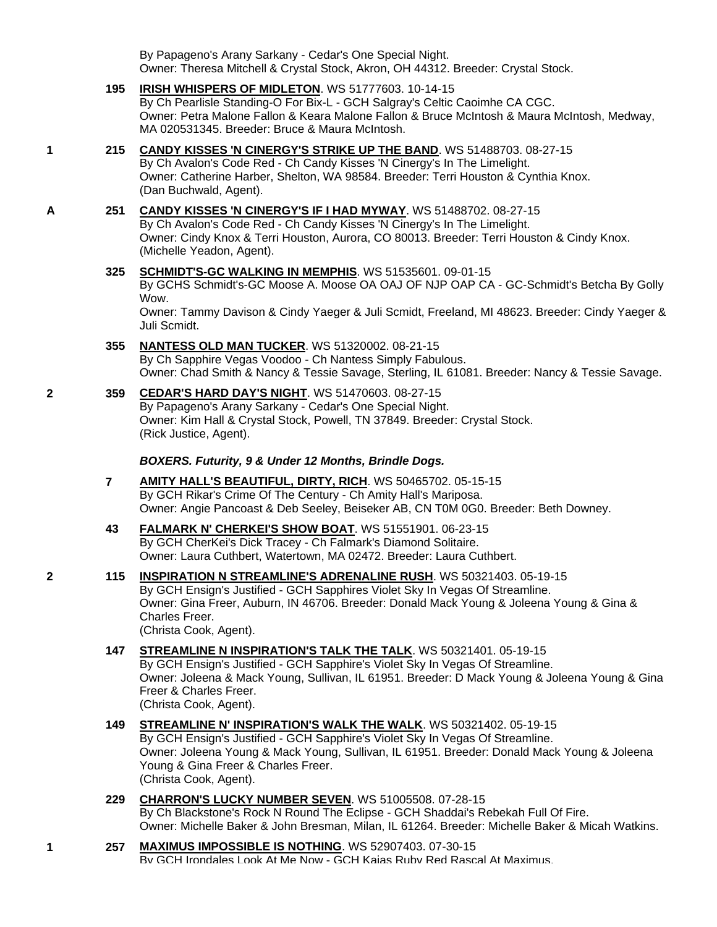By Papageno's Arany Sarkany - Cedar's One Special Night. Owner: Theresa Mitchell & Crystal Stock, Akron, OH 44312. Breeder: Crystal Stock.

**195 [IRISH WHISPERS OF MIDLETON](http://infodog.com/my/drlookup2.htm?makc=WS%2051777603&mdog=Irish+Whispers+Of+Midleton&wins=all)**. WS 51777603. 10-14-15 By Ch Pearlisle Standing-O For Bix-L - GCH Salgray's Celtic Caoimhe CA CGC.

Owner: Petra Malone Fallon & Keara Malone Fallon & Bruce McIntosh & Maura McIntosh, Medway, MA 020531345. Breeder: Bruce & Maura McIntosh.

## **1 215 [CANDY KISSES 'N CINERGY'S STRIKE UP THE BAND](http://infodog.com/my/drlookup2.htm?makc=WS%2051488703&mdog=Candy+Kisses+%27N+Cinergy%27s+Strike+Up+The+Band&wins=all)**. WS 51488703. 08-27-15

By Ch Avalon's Code Red - Ch Candy Kisses 'N Cinergy's In The Limelight. Owner: Catherine Harber, Shelton, WA 98584. Breeder: Terri Houston & Cynthia Knox. (Dan Buchwald, Agent).

**A 251 [CANDY KISSES 'N CINERGY'S IF I HAD MYWAY](http://infodog.com/my/drlookup2.htm?makc=WS%2051488702&mdog=Candy+Kisses+%27N+Cinergy%27s+If+I+Had+MyWay&wins=all)**. WS 51488702. 08-27-15 By Ch Avalon's Code Red - Ch Candy Kisses 'N Cinergy's In The Limelight. Owner: Cindy Knox & Terri Houston, Aurora, CO 80013. Breeder: Terri Houston & Cindy Knox. (Michelle Yeadon, Agent).

## **325 [SCHMIDT'S-GC WALKING IN MEMPHIS](http://infodog.com/my/drlookup2.htm?makc=WS%2051535601&mdog=Schmidt%27s-GC+Walking+In+Memphis&wins=all)**. WS 51535601. 09-01-15

By GCHS Schmidt's-GC Moose A. Moose OA OAJ OF NJP OAP CA - GC-Schmidt's Betcha By Golly Wow.

Owner: Tammy Davison & Cindy Yaeger & Juli Scmidt, Freeland, MI 48623. Breeder: Cindy Yaeger & Juli Scmidt.

- **355 [NANTESS OLD MAN TUCKER](http://infodog.com/my/drlookup2.htm?makc=WS%2051320002&mdog=Nantess+Old+Man+Tucker&wins=all)**. WS 51320002. 08-21-15 By Ch Sapphire Vegas Voodoo - Ch Nantess Simply Fabulous. Owner: Chad Smith & Nancy & Tessie Savage, Sterling, IL 61081. Breeder: Nancy & Tessie Savage.
- **2 359 [CEDAR'S HARD DAY'S NIGHT](http://infodog.com/my/drlookup2.htm?makc=WS%2051470603&mdog=Cedar%27s+Hard+Day%27s+Night&wins=all)**. WS 51470603. 08-27-15 By Papageno's Arany Sarkany - Cedar's One Special Night. Owner: Kim Hall & Crystal Stock, Powell, TN 37849. Breeder: Crystal Stock. (Rick Justice, Agent).

## *BOXERS. Futurity, 9 & Under 12 Months, Brindle Dogs.*

- **7 [AMITY HALL'S BEAUTIFUL, DIRTY, RICH](http://infodog.com/my/drlookup2.htm?makc=WS%2050465702&mdog=Amity+Hall%27s+Beautiful,+Dirty,+Rich&wins=all)**. WS 50465702. 05-15-15 By GCH Rikar's Crime Of The Century - Ch Amity Hall's Mariposa. Owner: Angie Pancoast & Deb Seeley, Beiseker AB, CN T0M 0G0. Breeder: Beth Downey.
- **43 [FALMARK N' CHERKEI'S SHOW BOAT](http://infodog.com/my/drlookup2.htm?makc=WS%2051551901&mdog=Falmark+N%27+CherKei%27s+Show+Boat&wins=all)**. WS 51551901. 06-23-15 By GCH CherKei's Dick Tracey - Ch Falmark's Diamond Solitaire. Owner: Laura Cuthbert, Watertown, MA 02472. Breeder: Laura Cuthbert.
- **2 115 [INSPIRATION N STREAMLINE'S ADRENALINE RUSH](http://infodog.com/my/drlookup2.htm?makc=WS%2050321403&mdog=Inspiration+N+Streamline%27s+Adrenaline+Rush&wins=all)**. WS 50321403. 05-19-15 By GCH Ensign's Justified - GCH Sapphires Violet Sky In Vegas Of Streamline. Owner: Gina Freer, Auburn, IN 46706. Breeder: Donald Mack Young & Joleena Young & Gina & Charles Freer. (Christa Cook, Agent).

#### **147 [STREAMLINE N INSPIRATION'S TALK THE TALK](http://infodog.com/my/drlookup2.htm?makc=WS%2050321401&mdog=Streamline+N+Inspiration%27s+Talk+The+Talk&wins=all)**. WS 50321401. 05-19-15 By GCH Ensign's Justified - GCH Sapphire's Violet Sky In Vegas Of Streamline. Owner: Joleena & Mack Young, Sullivan, IL 61951. Breeder: D Mack Young & Joleena Young & Gina Freer & Charles Freer. (Christa Cook, Agent).

- **149 [STREAMLINE N' INSPIRATION'S WALK THE WALK](http://infodog.com/my/drlookup2.htm?makc=WS%2050321402&mdog=Streamline+N%27+Inspiration%27s+Walk+The+Walk&wins=all)**. WS 50321402. 05-19-15 By GCH Ensign's Justified - GCH Sapphire's Violet Sky In Vegas Of Streamline. Owner: Joleena Young & Mack Young, Sullivan, IL 61951. Breeder: Donald Mack Young & Joleena Young & Gina Freer & Charles Freer. (Christa Cook, Agent).
- **229 [CHARRON'S LUCKY NUMBER SEVEN](http://infodog.com/my/drlookup2.htm?makc=WS%2051005508&mdog=Charron%27s+Lucky+Number+Seven&wins=all)**. WS 51005508. 07-28-15 By Ch Blackstone's Rock N Round The Eclipse - GCH Shaddai's Rebekah Full Of Fire. Owner: Michelle Baker & John Bresman, Milan, IL 61264. Breeder: Michelle Baker & Micah Watkins.
- **1 257 [MAXIMUS IMPOSSIBLE IS NOTHING](http://infodog.com/my/drlookup2.htm?makc=WS%2052907403&mdog=Maximus+Impossible+Is+Nothing&wins=all)**. WS 52907403. 07-30-15 By GCH Irondales Look At Me Now - GCH Kajas Ruby Red Rascal At Maximus.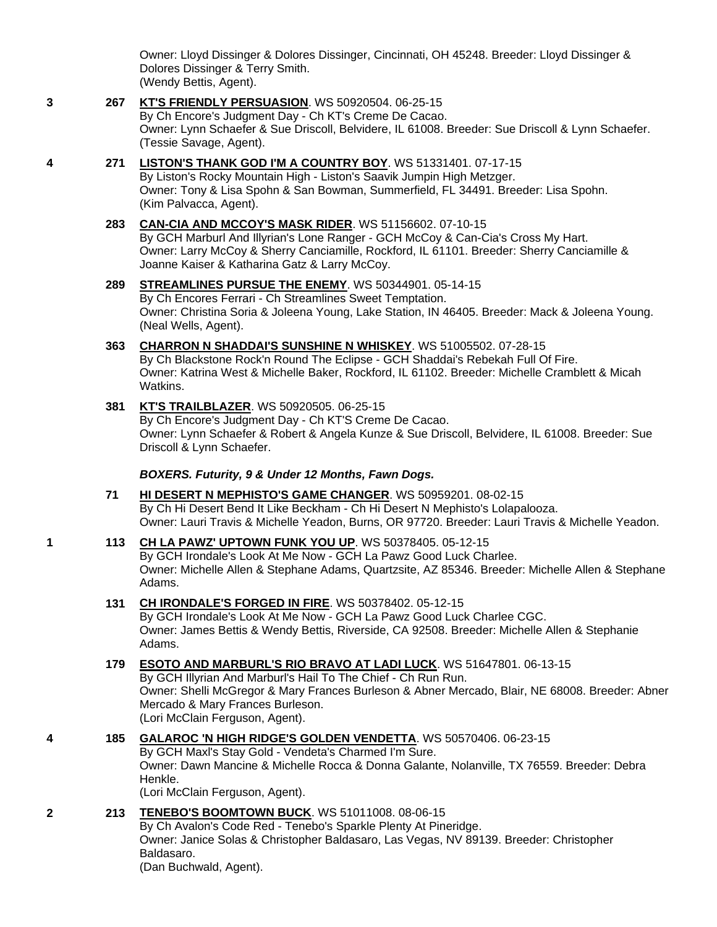Owner: Lloyd Dissinger & Dolores Dissinger, Cincinnati, OH 45248. Breeder: Lloyd Dissinger & Dolores Dissinger & Terry Smith.

- (Wendy Bettis, Agent).
- **3 267 [KT'S FRIENDLY PERSUASION](http://infodog.com/my/drlookup2.htm?makc=WS%2050920504&mdog=KT%27s+Friendly+Persuasion&wins=all)**. WS 50920504. 06-25-15 By Ch Encore's Judgment Day - Ch KT's Creme De Cacao. Owner: Lynn Schaefer & Sue Driscoll, Belvidere, IL 61008. Breeder: Sue Driscoll & Lynn Schaefer. (Tessie Savage, Agent).
- **4 271 [LISTON'S THANK GOD I'M A COUNTRY BOY](http://infodog.com/my/drlookup2.htm?makc=WS%2051331401&mdog=Liston%27s+Thank+God+I%27m+A+Country+Boy&wins=all)**. WS 51331401. 07-17-15 By Liston's Rocky Mountain High - Liston's Saavik Jumpin High Metzger. Owner: Tony & Lisa Spohn & San Bowman, Summerfield, FL 34491. Breeder: Lisa Spohn. (Kim Palvacca, Agent).
	- **283 [CAN-CIA AND MCCOY'S MASK RIDER](http://infodog.com/my/drlookup2.htm?makc=WS%2051156602&mdog=Can-Cia+And+McCoy%27s+Mask+Rider&wins=all)**. WS 51156602. 07-10-15 By GCH Marburl And Illyrian's Lone Ranger - GCH McCoy & Can-Cia's Cross My Hart. Owner: Larry McCoy & Sherry Canciamille, Rockford, IL 61101. Breeder: Sherry Canciamille & Joanne Kaiser & Katharina Gatz & Larry McCoy.
	- **289 [STREAMLINES PURSUE THE ENEMY](http://infodog.com/my/drlookup2.htm?makc=WS%2050344901&mdog=Streamlines+Pursue+The+Enemy&wins=all)**. WS 50344901. 05-14-15 By Ch Encores Ferrari - Ch Streamlines Sweet Temptation. Owner: Christina Soria & Joleena Young, Lake Station, IN 46405. Breeder: Mack & Joleena Young. (Neal Wells, Agent).
	- **363 [CHARRON N SHADDAI'S SUNSHINE N WHISKEY](http://infodog.com/my/drlookup2.htm?makc=WS%2051005502&mdog=Charron+N+Shaddai%27s+Sunshine+N+Whiskey&wins=all)**. WS 51005502. 07-28-15 By Ch Blackstone Rock'n Round The Eclipse - GCH Shaddai's Rebekah Full Of Fire. Owner: Katrina West & Michelle Baker, Rockford, IL 61102. Breeder: Michelle Cramblett & Micah Watkins.
	- **381 [KT'S TRAILBLAZER](http://infodog.com/my/drlookup2.htm?makc=WS%2050920505&mdog=KT%27s+Trailblazer&wins=all)**. WS 50920505. 06-25-15 By Ch Encore's Judgment Day - Ch KT'S Creme De Cacao. Owner: Lynn Schaefer & Robert & Angela Kunze & Sue Driscoll, Belvidere, IL 61008. Breeder: Sue Driscoll & Lynn Schaefer.

*BOXERS. Futurity, 9 & Under 12 Months, Fawn Dogs.*

- **71 [HI DESERT N MEPHISTO'S GAME CHANGER](http://infodog.com/my/drlookup2.htm?makc=WS%2050959201&mdog=Hi+Desert+N+Mephisto%27s+Game+Changer&wins=all)**. WS 50959201. 08-02-15 By Ch Hi Desert Bend It Like Beckham - Ch Hi Desert N Mephisto's Lolapalooza. Owner: Lauri Travis & Michelle Yeadon, Burns, OR 97720. Breeder: Lauri Travis & Michelle Yeadon.
- **1 113 [CH LA PAWZ' UPTOWN FUNK YOU UP](http://infodog.com/my/drlookup2.htm?makc=WS%2050378405&mdog=Ch+La+Pawz%27+Uptown+Funk+You+Up&wins=all)**. WS 50378405. 05-12-15 By GCH Irondale's Look At Me Now - GCH La Pawz Good Luck Charlee. Owner: Michelle Allen & Stephane Adams, Quartzsite, AZ 85346. Breeder: Michelle Allen & Stephane Adams.
	- **131 [CH IRONDALE'S FORGED IN FIRE](http://infodog.com/my/drlookup2.htm?makc=WS%2050378402&mdog=Ch+Irondale%27s+Forged+In+Fire&wins=all)**. WS 50378402. 05-12-15 By GCH Irondale's Look At Me Now - GCH La Pawz Good Luck Charlee CGC. Owner: James Bettis & Wendy Bettis, Riverside, CA 92508. Breeder: Michelle Allen & Stephanie Adams.
	- **179 [ESOTO AND MARBURL'S RIO BRAVO AT LADI LUCK](http://infodog.com/my/drlookup2.htm?makc=WS%2051647801&mdog=Esoto+And+Marburl%27s+Rio+Bravo+At+Ladi+Luck&wins=all)**. WS 51647801. 06-13-15 By GCH Illyrian And Marburl's Hail To The Chief - Ch Run Run. Owner: Shelli McGregor & Mary Frances Burleson & Abner Mercado, Blair, NE 68008. Breeder: Abner Mercado & Mary Frances Burleson. (Lori McClain Ferguson, Agent).
- **4 185 [GALAROC 'N HIGH RIDGE'S GOLDEN VENDETTA](http://infodog.com/my/drlookup2.htm?makc=WS%2050570406&mdog=Galaroc+%27N+High+Ridge%27s+Golden+Vendetta&wins=all)**. WS 50570406. 06-23-15 By GCH Maxl's Stay Gold - Vendeta's Charmed I'm Sure. Owner: Dawn Mancine & Michelle Rocca & Donna Galante, Nolanville, TX 76559. Breeder: Debra Henkle. (Lori McClain Ferguson, Agent).

**2 213 [TENEBO'S BOOMTOWN BUCK](http://infodog.com/my/drlookup2.htm?makc=WS%2051011008&mdog=Tenebo%27s+Boomtown+Buck&wins=all)**. WS 51011008. 08-06-15 By Ch Avalon's Code Red - Tenebo's Sparkle Plenty At Pineridge. Owner: Janice Solas & Christopher Baldasaro, Las Vegas, NV 89139. Breeder: Christopher Baldasaro. (Dan Buchwald, Agent).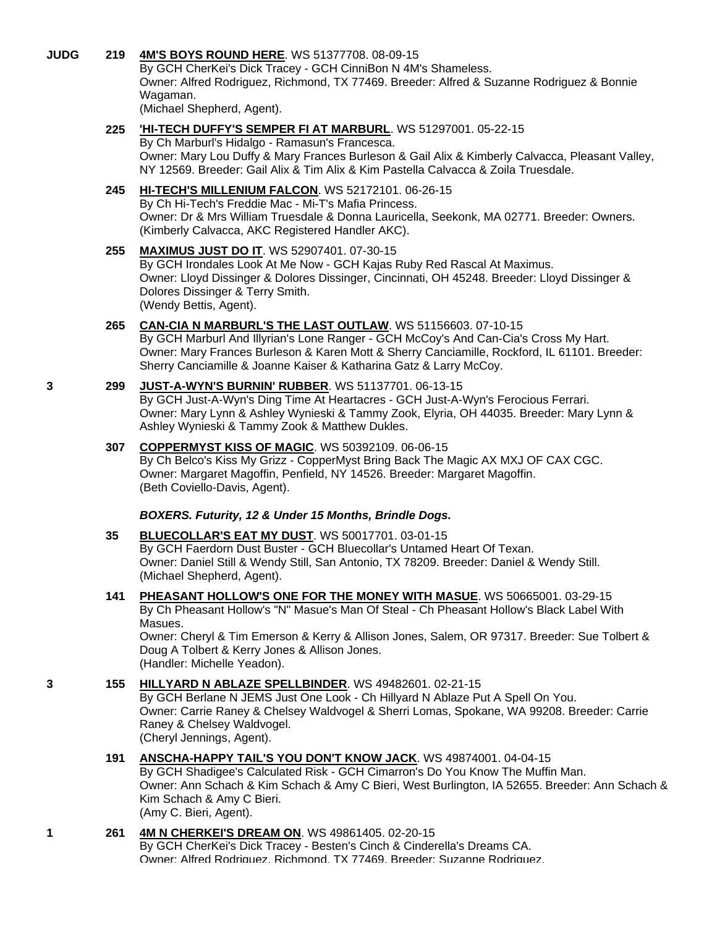## **JUDG 219 [4M'S BOYS ROUND HERE](http://infodog.com/my/drlookup2.htm?makc=WS%2051377708&mdog=4M%27s+Boys+Round+Here&wins=all)**. WS 51377708. 08-09-15

By GCH CherKei's Dick Tracey - GCH CinniBon N 4M's Shameless. Owner: Alfred Rodriguez, Richmond, TX 77469. Breeder: Alfred & Suzanne Rodriguez & Bonnie Wagaman.

(Michael Shepherd, Agent).

## **225 ['HI-TECH DUFFY'S SEMPER FI AT MARBURL](http://infodog.com/my/drlookup2.htm?makc=WS%2051297001&mdog=%27Hi-Tech+Duffy%27S+Semper+Fi+At+MarBurl&wins=all)**. WS 51297001. 05-22-15

By Ch Marburl's Hidalgo - Ramasun's Francesca. Owner: Mary Lou Duffy & Mary Frances Burleson & Gail Alix & Kimberly Calvacca, Pleasant Valley, NY 12569. Breeder: Gail Alix & Tim Alix & Kim Pastella Calvacca & Zoila Truesdale.

# **245 [HI-TECH'S MILLENIUM FALCON](http://infodog.com/my/drlookup2.htm?makc=WS%2052172101&mdog=Hi-Tech%27s+Millenium+Falcon&wins=all)**. WS 52172101. 06-26-15

By Ch Hi-Tech's Freddie Mac - Mi-T's Mafia Princess. Owner: Dr & Mrs William Truesdale & Donna Lauricella, Seekonk, MA 02771. Breeder: Owners. (Kimberly Calvacca, AKC Registered Handler AKC).

#### **255 [MAXIMUS JUST DO IT](http://infodog.com/my/drlookup2.htm?makc=WS%2052907401&mdog=Maximus+Just+Do+It&wins=all)**. WS 52907401. 07-30-15

By GCH Irondales Look At Me Now - GCH Kajas Ruby Red Rascal At Maximus. Owner: Lloyd Dissinger & Dolores Dissinger, Cincinnati, OH 45248. Breeder: Lloyd Dissinger & Dolores Dissinger & Terry Smith. (Wendy Bettis, Agent).

## **265 [CAN-CIA N MARBURL'S THE LAST OUTLAW](http://infodog.com/my/drlookup2.htm?makc=WS%2051156603&mdog=Can-Cia+N+Marburl%27s+The+Last+Outlaw&wins=all)**. WS 51156603. 07-10-15

By GCH Marburl And Illyrian's Lone Ranger - GCH McCoy's And Can-Cia's Cross My Hart. Owner: Mary Frances Burleson & Karen Mott & Sherry Canciamille, Rockford, IL 61101. Breeder: Sherry Canciamille & Joanne Kaiser & Katharina Gatz & Larry McCoy.

## **3 299 [JUST-A-WYN'S BURNIN' RUBBER](http://infodog.com/my/drlookup2.htm?makc=WS%2051137701&mdog=Just-A-Wyn%27s+Burnin%27+Rubber&wins=all)**. WS 51137701. 06-13-15

By GCH Just-A-Wyn's Ding Time At Heartacres - GCH Just-A-Wyn's Ferocious Ferrari. Owner: Mary Lynn & Ashley Wynieski & Tammy Zook, Elyria, OH 44035. Breeder: Mary Lynn & Ashley Wynieski & Tammy Zook & Matthew Dukles.

#### **307 [COPPERMYST KISS OF MAGIC](http://infodog.com/my/drlookup2.htm?makc=WS%2050392109&mdog=CopperMyst+Kiss+Of+Magic&wins=all)**. WS 50392109. 06-06-15 By Ch Belco's Kiss My Grizz - CopperMyst Bring Back The Magic AX MXJ OF CAX CGC.

Owner: Margaret Magoffin, Penfield, NY 14526. Breeder: Margaret Magoffin. (Beth Coviello-Davis, Agent).

#### *BOXERS. Futurity, 12 & Under 15 Months, Brindle Dogs.*

## **35 [BLUECOLLAR'S EAT MY DUST](http://infodog.com/my/drlookup2.htm?makc=WS%2050017701&mdog=Bluecollar%27s+Eat+My+Dust&wins=all)**. WS 50017701. 03-01-15

By GCH Faerdorn Dust Buster - GCH Bluecollar's Untamed Heart Of Texan. Owner: Daniel Still & Wendy Still, San Antonio, TX 78209. Breeder: Daniel & Wendy Still. (Michael Shepherd, Agent).

#### **141 [PHEASANT HOLLOW'S ONE FOR THE MONEY WITH MASUE](http://infodog.com/my/drlookup2.htm?makc=WS%2050665001&mdog=Pheasant+Hollow%27s+One+For+The+Money+With+Masue&wins=all)**. WS 50665001. 03-29-15 By Ch Pheasant Hollow's "N" Masue's Man Of Steal - Ch Pheasant Hollow's Black Label With Masues. Owner: Cheryl & Tim Emerson & Kerry & Allison Jones, Salem, OR 97317. Breeder: Sue Tolbert &

Doug A Tolbert & Kerry Jones & Allison Jones. (Handler: Michelle Yeadon).

#### **3 155 [HILLYARD N ABLAZE SPELLBINDER](http://infodog.com/my/drlookup2.htm?makc=WS%2049482601&mdog=Hillyard+N+Ablaze+Spellbinder&wins=all)**. WS 49482601. 02-21-15

By GCH Berlane N JEMS Just One Look - Ch Hillyard N Ablaze Put A Spell On You. Owner: Carrie Raney & Chelsey Waldvogel & Sherri Lomas, Spokane, WA 99208. Breeder: Carrie Raney & Chelsey Waldvogel. (Cheryl Jennings, Agent).

# **191 [ANSCHA-HAPPY TAIL'S YOU DON'T KNOW JACK](http://infodog.com/my/drlookup2.htm?makc=WS%2049874001&mdog=Anscha-Happy+Tail%27s+You+Don%27t+Know+Jack&wins=all)**. WS 49874001. 04-04-15

By GCH Shadigee's Calculated Risk - GCH Cimarron's Do You Know The Muffin Man. Owner: Ann Schach & Kim Schach & Amy C Bieri, West Burlington, IA 52655. Breeder: Ann Schach & Kim Schach & Amy C Bieri. (Amy C. Bieri, Agent).

## **1 261 [4M N CHERKEI'S DREAM ON](http://infodog.com/my/drlookup2.htm?makc=WS%2049861405&mdog=4M+N+CherKei%27s+Dream+On&wins=all)**. WS 49861405. 02-20-15

By GCH CherKei's Dick Tracey - Besten's Cinch & Cinderella's Dreams CA. Owner: Alfred Rodriguez, Richmond, TX 77469. Breeder: Suzanne Rodriguez.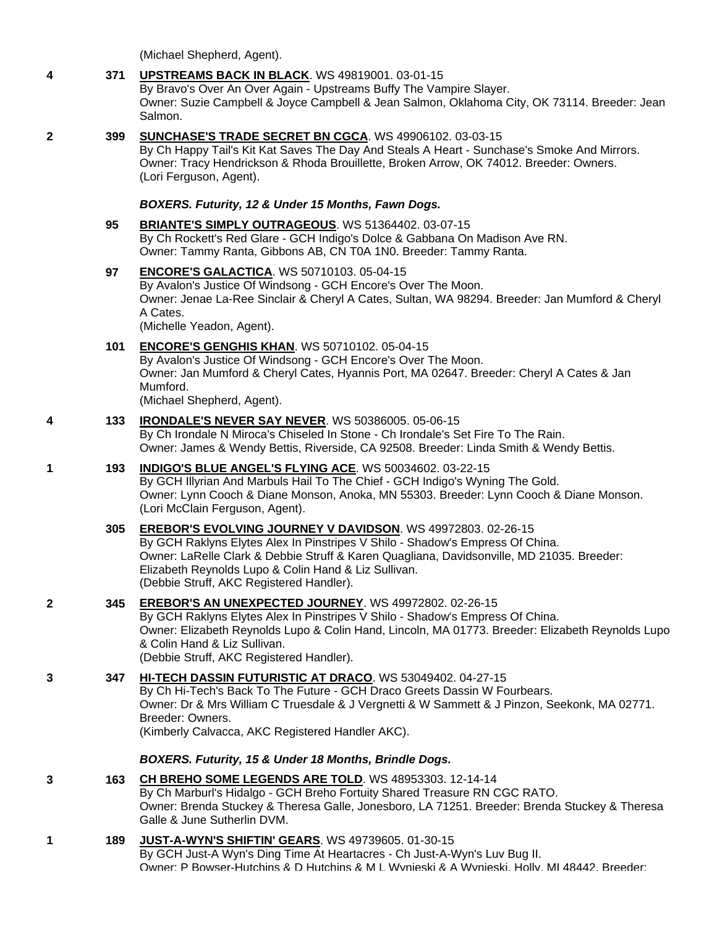(Michael Shepherd, Agent).

## **4 371 [UPSTREAMS BACK IN BLACK](http://infodog.com/my/drlookup2.htm?makc=WS%2049819001&mdog=Upstreams+Back+In+Black&wins=all)**. WS 49819001. 03-01-15

By Bravo's Over An Over Again - Upstreams Buffy The Vampire Slayer. Owner: Suzie Campbell & Joyce Campbell & Jean Salmon, Oklahoma City, OK 73114. Breeder: Jean Salmon.

## **2 399 [SUNCHASE'S TRADE SECRET BN CGCA](http://infodog.com/my/drlookup2.htm?makc=WS%2049906102&mdog=Sunchase%27s+Trade+Secret+BN+CGCA&wins=all)**. WS 49906102. 03-03-15

By Ch Happy Tail's Kit Kat Saves The Day And Steals A Heart - Sunchase's Smoke And Mirrors. Owner: Tracy Hendrickson & Rhoda Brouillette, Broken Arrow, OK 74012. Breeder: Owners. (Lori Ferguson, Agent).

*BOXERS. Futurity, 12 & Under 15 Months, Fawn Dogs.*

#### **95 [BRIANTE'S SIMPLY OUTRAGEOUS](http://infodog.com/my/drlookup2.htm?makc=WS%2051364402&mdog=Briante%27s+Simply+Outrageous&wins=all)**. WS 51364402. 03-07-15 By Ch Rockett's Red Glare - GCH Indigo's Dolce & Gabbana On Madison Ave RN. Owner: Tammy Ranta, Gibbons AB, CN T0A 1N0. Breeder: Tammy Ranta.

- **97 [ENCORE'S GALACTICA](http://infodog.com/my/drlookup2.htm?makc=WS%2050710103&mdog=Encore%27s+Galactica&wins=all)**. WS 50710103. 05-04-15 By Avalon's Justice Of Windsong - GCH Encore's Over The Moon. Owner: Jenae La-Ree Sinclair & Cheryl A Cates, Sultan, WA 98294. Breeder: Jan Mumford & Cheryl A Cates. (Michelle Yeadon, Agent).
- **101 [ENCORE'S GENGHIS KHAN](http://infodog.com/my/drlookup2.htm?makc=WS%2050710102&mdog=Encore%27s+Genghis+Khan&wins=all)**. WS 50710102. 05-04-15 By Avalon's Justice Of Windsong - GCH Encore's Over The Moon. Owner: Jan Mumford & Cheryl Cates, Hyannis Port, MA 02647. Breeder: Cheryl A Cates & Jan Mumford. (Michael Shepherd, Agent).
- **4 133 [IRONDALE'S NEVER SAY NEVER](http://infodog.com/my/drlookup2.htm?makc=WS%2050386005&mdog=Irondale%27s+Never+Say+Never&wins=all)**. WS 50386005. 05-06-15 By Ch Irondale N Miroca's Chiseled In Stone - Ch Irondale's Set Fire To The Rain. Owner: James & Wendy Bettis, Riverside, CA 92508. Breeder: Linda Smith & Wendy Bettis.
- **1 193 [INDIGO'S BLUE ANGEL'S FLYING ACE](http://infodog.com/my/drlookup2.htm?makc=WS%2050034602&mdog=Indigo%27s+Blue+Angel%27s+Flying+Ace&wins=all)**. WS 50034602. 03-22-15 By GCH Illyrian And Marbuls Hail To The Chief - GCH Indigo's Wyning The Gold. Owner: Lynn Cooch & Diane Monson, Anoka, MN 55303. Breeder: Lynn Cooch & Diane Monson. (Lori McClain Ferguson, Agent).
	- **305 [EREBOR'S EVOLVING JOURNEY V DAVIDSON](http://infodog.com/my/drlookup2.htm?makc=WS%2049972803&mdog=Erebor%27s+Evolving+Journey+V+Davidson&wins=all)**. WS 49972803. 02-26-15 By GCH Raklyns Elytes Alex In Pinstripes V Shilo - Shadow's Empress Of China. Owner: LaRelle Clark & Debbie Struff & Karen Quagliana, Davidsonville, MD 21035. Breeder: Elizabeth Reynolds Lupo & Colin Hand & Liz Sullivan. (Debbie Struff, AKC Registered Handler).
- **2 345 [EREBOR'S AN UNEXPECTED JOURNEY](http://infodog.com/my/drlookup2.htm?makc=WS%2049972802&mdog=Erebor%27s+An+Unexpected+Journey&wins=all)**. WS 49972802. 02-26-15 By GCH Raklyns Elytes Alex In Pinstripes V Shilo - Shadow's Empress Of China. Owner: Elizabeth Reynolds Lupo & Colin Hand, Lincoln, MA 01773. Breeder: Elizabeth Reynolds Lupo & Colin Hand & Liz Sullivan. (Debbie Struff, AKC Registered Handler).
- **3 347 [HI-TECH DASSIN FUTURISTIC AT DRACO](http://infodog.com/my/drlookup2.htm?makc=WS%2053049402&mdog=Hi-Tech+Dassin+Futuristic+At+Draco&wins=all)**. WS 53049402. 04-27-15 By Ch Hi-Tech's Back To The Future - GCH Draco Greets Dassin W Fourbears. Owner: Dr & Mrs William C Truesdale & J Vergnetti & W Sammett & J Pinzon, Seekonk, MA 02771. Breeder: Owners. (Kimberly Calvacca, AKC Registered Handler AKC).

## *BOXERS. Futurity, 15 & Under 18 Months, Brindle Dogs.*

- **3 163 [CH BREHO SOME LEGENDS ARE TOLD](http://infodog.com/my/drlookup2.htm?makc=WS%2048953303&mdog=Ch+Breho+Some+Legends+Are+Told&wins=all)**. WS 48953303. 12-14-14 By Ch Marburl's Hidalgo - GCH Breho Fortuity Shared Treasure RN CGC RATO. Owner: Brenda Stuckey & Theresa Galle, Jonesboro, LA 71251. Breeder: Brenda Stuckey & Theresa Galle & June Sutherlin DVM.
- **1 189 [JUST-A-WYN'S SHIFTIN' GEARS](http://infodog.com/my/drlookup2.htm?makc=WS%2049739605&mdog=Just-A-Wyn%27s+Shiftin%27+Gears&wins=all)**. WS 49739605. 01-30-15 By GCH Just-A Wyn's Ding Time At Heartacres - Ch Just-A-Wyn's Luv Bug II. Owner: P Bowser-Hutchins & D Hutchins & M L Wynieski & A Wynieski, Holly, MI 48442. Breeder: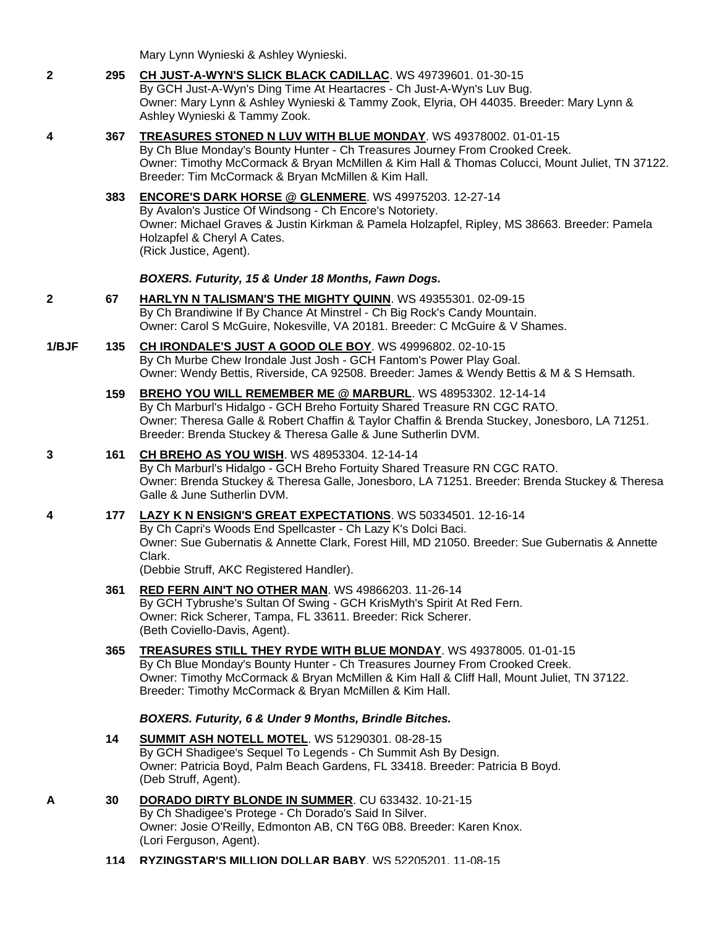Mary Lynn Wynieski & Ashley Wynieski.

- **2 295 [CH JUST-A-WYN'S SLICK BLACK CADILLAC](http://infodog.com/my/drlookup2.htm?makc=WS%2049739601&mdog=Ch+Just-A-Wyn%27s+Slick+Black+Cadillac&wins=all)**. WS 49739601. 01-30-15 By GCH Just-A-Wyn's Ding Time At Heartacres - Ch Just-A-Wyn's Luv Bug. Owner: Mary Lynn & Ashley Wynieski & Tammy Zook, Elyria, OH 44035. Breeder: Mary Lynn & Ashley Wynieski & Tammy Zook.
- **4 367 [TREASURES STONED N LUV WITH BLUE MONDAY](http://infodog.com/my/drlookup2.htm?makc=WS%2049378002&mdog=Treasures+Stoned+N+Luv+With+Blue+Monday&wins=all)**. WS 49378002. 01-01-15 By Ch Blue Monday's Bounty Hunter - Ch Treasures Journey From Crooked Creek. Owner: Timothy McCormack & Bryan McMillen & Kim Hall & Thomas Colucci, Mount Juliet, TN 37122. Breeder: Tim McCormack & Bryan McMillen & Kim Hall.
	- **383 [ENCORE'S DARK HORSE @ GLENMERE](http://infodog.com/my/drlookup2.htm?makc=WS%2049975203&mdog=Encore%27s+Dark+Horse+@+Glenmere&wins=all)**. WS 49975203. 12-27-14 By Avalon's Justice Of Windsong - Ch Encore's Notoriety. Owner: Michael Graves & Justin Kirkman & Pamela Holzapfel, Ripley, MS 38663. Breeder: Pamela Holzapfel & Cheryl A Cates. (Rick Justice, Agent).

#### *BOXERS. Futurity, 15 & Under 18 Months, Fawn Dogs.*

- **2 67 [HARLYN N TALISMAN'S THE MIGHTY QUINN](http://infodog.com/my/drlookup2.htm?makc=WS%2049355301&mdog=Harlyn+N+Talisman%27s+The+Mighty+Quinn&wins=all)**. WS 49355301. 02-09-15 By Ch Brandiwine If By Chance At Minstrel - Ch Big Rock's Candy Mountain. Owner: Carol S McGuire, Nokesville, VA 20181. Breeder: C McGuire & V Shames.
- **1/BJF 135 [CH IRONDALE'S JUST A GOOD OLE BOY](http://infodog.com/my/drlookup2.htm?makc=WS%2049996802&mdog=Ch+Irondale%27s+Just+A+Good+Ole+Boy&wins=all)**. WS 49996802. 02-10-15 By Ch Murbe Chew Irondale Just Josh - GCH Fantom's Power Play Goal. Owner: Wendy Bettis, Riverside, CA 92508. Breeder: James & Wendy Bettis & M & S Hemsath.
	- **159 [BREHO YOU WILL REMEMBER ME @ MARBURL](http://infodog.com/my/drlookup2.htm?makc=WS%2048953302&mdog=Breho+You+Will+Remember+Me+@+Marburl&wins=all)**. WS 48953302. 12-14-14 By Ch Marburl's Hidalgo - GCH Breho Fortuity Shared Treasure RN CGC RATO. Owner: Theresa Galle & Robert Chaffin & Taylor Chaffin & Brenda Stuckey, Jonesboro, LA 71251. Breeder: Brenda Stuckey & Theresa Galle & June Sutherlin DVM.

#### **3 161 [CH BREHO AS YOU WISH](http://infodog.com/my/drlookup2.htm?makc=WS%2048953304&mdog=Ch+Breho+As+You+Wish&wins=all)**. WS 48953304. 12-14-14

By Ch Marburl's Hidalgo - GCH Breho Fortuity Shared Treasure RN CGC RATO. Owner: Brenda Stuckey & Theresa Galle, Jonesboro, LA 71251. Breeder: Brenda Stuckey & Theresa Galle & June Sutherlin DVM.

#### **4 177 [LAZY K N ENSIGN'S GREAT EXPECTATIONS](http://infodog.com/my/drlookup2.htm?makc=WS%2050334501&mdog=Lazy+K+N+Ensign%27s+Great+Expectations&wins=all)**. WS 50334501. 12-16-14

By Ch Capri's Woods End Spellcaster - Ch Lazy K's Dolci Baci. Owner: Sue Gubernatis & Annette Clark, Forest Hill, MD 21050. Breeder: Sue Gubernatis & Annette Clark.

(Debbie Struff, AKC Registered Handler).

- **361 [RED FERN AIN'T NO OTHER MAN](http://infodog.com/my/drlookup2.htm?makc=WS%2049866203&mdog=Red+Fern+Ain%27t+No+Other+Man&wins=all)**. WS 49866203. 11-26-14 By GCH Tybrushe's Sultan Of Swing - GCH KrisMyth's Spirit At Red Fern. Owner: Rick Scherer, Tampa, FL 33611. Breeder: Rick Scherer. (Beth Coviello-Davis, Agent).
- **365 [TREASURES STILL THEY RYDE WITH BLUE MONDAY](http://infodog.com/my/drlookup2.htm?makc=WS%2049378005&mdog=Treasures+Still+They+Ryde+With+Blue+Monday&wins=all)**. WS 49378005. 01-01-15 By Ch Blue Monday's Bounty Hunter - Ch Treasures Journey From Crooked Creek. Owner: Timothy McCormack & Bryan McMillen & Kim Hall & Cliff Hall, Mount Juliet, TN 37122. Breeder: Timothy McCormack & Bryan McMillen & Kim Hall.

## *BOXERS. Futurity, 6 & Under 9 Months, Brindle Bitches.*

- **14 [SUMMIT ASH NOTELL MOTEL](http://infodog.com/my/drlookup2.htm?makc=WS%2051290301&mdog=Summit+Ash+Notell+Motel&wins=all)**. WS 51290301. 08-28-15 By GCH Shadigee's Sequel To Legends - Ch Summit Ash By Design. Owner: Patricia Boyd, Palm Beach Gardens, FL 33418. Breeder: Patricia B Boyd. (Deb Struff, Agent).
- **A 30 [DORADO DIRTY BLONDE IN SUMMER](http://infodog.com/my/drlookup2.htm?makc=CU%20633432&mdog=Dorado+Dirty+Blonde+In+Summer&wins=all)**. CU 633432. 10-21-15 By Ch Shadigee's Protege - Ch Dorado's Said In Silver. Owner: Josie O'Reilly, Edmonton AB, CN T6G 0B8. Breeder: Karen Knox. (Lori Ferguson, Agent).
	- **114 [RYZINGSTAR'S MILLION DOLLAR BABY](http://infodog.com/my/drlookup2.htm?makc=WS%2052205201&mdog=Ryzingstar%27s+Million+Dollar+Baby&wins=all)**. WS 52205201. 11-08-15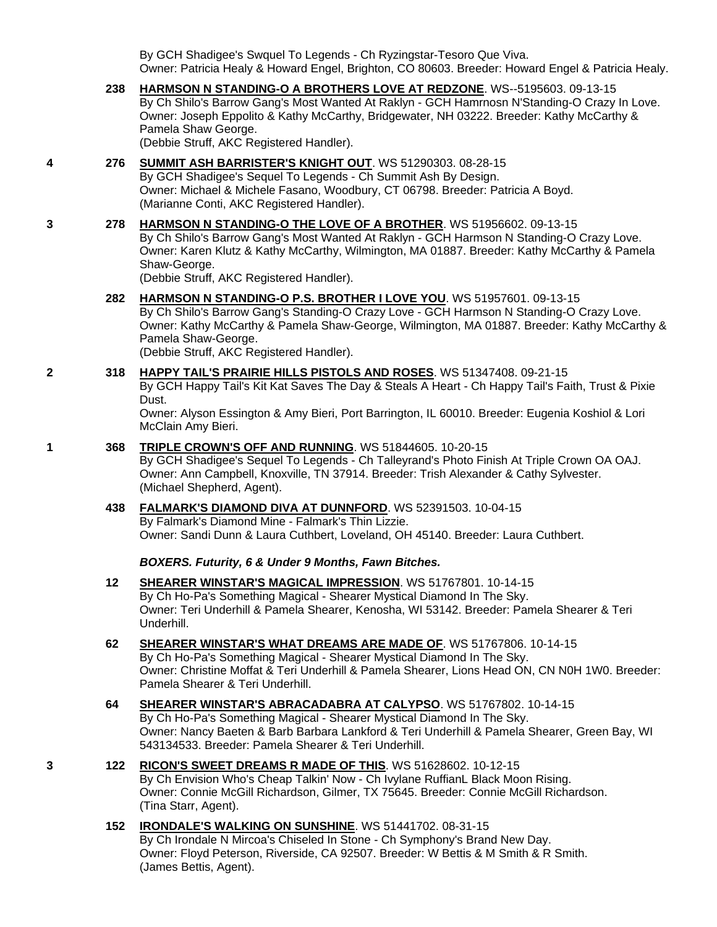By GCH Shadigee's Swquel To Legends - Ch Ryzingstar-Tesoro Que Viva. Owner: Patricia Healy & Howard Engel, Brighton, CO 80603. Breeder: Howard Engel & Patricia Healy.

- **238 [HARMSON N STANDING-O A BROTHERS LOVE AT REDZONE](http://infodog.com/my/drlookup2.htm?makc=WS--5195603&mdog=Harmson+N+Standing-O+A+Brothers+Love+At+Redzone&wins=all)**. WS--5195603. 09-13-15 By Ch Shilo's Barrow Gang's Most Wanted At Raklyn - GCH Hamrnosn N'Standing-O Crazy In Love. Owner: Joseph Eppolito & Kathy McCarthy, Bridgewater, NH 03222. Breeder: Kathy McCarthy & Pamela Shaw George. (Debbie Struff, AKC Registered Handler).
- **4 276 [SUMMIT ASH BARRISTER'S KNIGHT OUT](http://infodog.com/my/drlookup2.htm?makc=WS%2051290303&mdog=Summit+Ash+Barrister%27s+Knight+Out&wins=all)**. WS 51290303. 08-28-15 By GCH Shadigee's Sequel To Legends - Ch Summit Ash By Design. Owner: Michael & Michele Fasano, Woodbury, CT 06798. Breeder: Patricia A Boyd. (Marianne Conti, AKC Registered Handler).
- **3 278 [HARMSON N STANDING-O THE LOVE OF A BROTHER](http://infodog.com/my/drlookup2.htm?makc=WS%2051956602&mdog=Harmson+N+Standing-O+The+Love+Of+A+Brother&wins=all)**. WS 51956602. 09-13-15 By Ch Shilo's Barrow Gang's Most Wanted At Raklyn - GCH Harmson N Standing-O Crazy Love. Owner: Karen Klutz & Kathy McCarthy, Wilmington, MA 01887. Breeder: Kathy McCarthy & Pamela Shaw-George.

(Debbie Struff, AKC Registered Handler).

- **282 [HARMSON N STANDING-O P.S. BROTHER I LOVE YOU](http://infodog.com/my/drlookup2.htm?makc=WS%2051957601&mdog=Harmson+N+Standing-O+P.S.+Brother+I+Love+You&wins=all)**. WS 51957601. 09-13-15 By Ch Shilo's Barrow Gang's Standing-O Crazy Love - GCH Harmson N Standing-O Crazy Love. Owner: Kathy McCarthy & Pamela Shaw-George, Wilmington, MA 01887. Breeder: Kathy McCarthy & Pamela Shaw-George. (Debbie Struff, AKC Registered Handler).
- **2 318 [HAPPY TAIL'S PRAIRIE HILLS PISTOLS AND ROSES](http://infodog.com/my/drlookup2.htm?makc=WS%2051347408&mdog=Happy+Tail%27s+Prairie+Hills+Pistols+And+Roses&wins=all)**. WS 51347408. 09-21-15 By GCH Happy Tail's Kit Kat Saves The Day & Steals A Heart - Ch Happy Tail's Faith, Trust & Pixie Dust.

Owner: Alyson Essington & Amy Bieri, Port Barrington, IL 60010. Breeder: Eugenia Koshiol & Lori McClain Amy Bieri.

#### **1 368 [TRIPLE CROWN'S OFF AND RUNNING](http://infodog.com/my/drlookup2.htm?makc=WS%2051844605&mdog=Triple+Crown%27s+Off+And+Running&wins=all)**. WS 51844605. 10-20-15

By GCH Shadigee's Sequel To Legends - Ch Talleyrand's Photo Finish At Triple Crown OA OAJ. Owner: Ann Campbell, Knoxville, TN 37914. Breeder: Trish Alexander & Cathy Sylvester. (Michael Shepherd, Agent).

**438 [FALMARK'S DIAMOND DIVA AT DUNNFORD](http://infodog.com/my/drlookup2.htm?makc=WS%2052391503&mdog=Falmark%27s+Diamond+Diva+At+Dunnford&wins=all)**. WS 52391503. 10-04-15 By Falmark's Diamond Mine - Falmark's Thin Lizzie. Owner: Sandi Dunn & Laura Cuthbert, Loveland, OH 45140. Breeder: Laura Cuthbert.

#### *BOXERS. Futurity, 6 & Under 9 Months, Fawn Bitches.*

- **12 [SHEARER WINSTAR'S MAGICAL IMPRESSION](http://infodog.com/my/drlookup2.htm?makc=WS%2051767801&mdog=Shearer+Winstar%27s+Magical+Impression&wins=all)**. WS 51767801. 10-14-15 By Ch Ho-Pa's Something Magical - Shearer Mystical Diamond In The Sky. Owner: Teri Underhill & Pamela Shearer, Kenosha, WI 53142. Breeder: Pamela Shearer & Teri Underhill.
- **62 [SHEARER WINSTAR'S WHAT DREAMS ARE MADE OF](http://infodog.com/my/drlookup2.htm?makc=WS%2051767806&mdog=Shearer+Winstar%27s+What+Dreams+Are+Made+Of&wins=all)**. WS 51767806. 10-14-15 By Ch Ho-Pa's Something Magical - Shearer Mystical Diamond In The Sky. Owner: Christine Moffat & Teri Underhill & Pamela Shearer, Lions Head ON, CN N0H 1W0. Breeder: Pamela Shearer & Teri Underhill.
- **64 [SHEARER WINSTAR'S ABRACADABRA AT CALYPSO](http://infodog.com/my/drlookup2.htm?makc=WS%2051767802&mdog=Shearer+Winstar%27s+Abracadabra+At+Calypso&wins=all)**. WS 51767802. 10-14-15 By Ch Ho-Pa's Something Magical - Shearer Mystical Diamond In The Sky. Owner: Nancy Baeten & Barb Barbara Lankford & Teri Underhill & Pamela Shearer, Green Bay, WI 543134533. Breeder: Pamela Shearer & Teri Underhill.

## **3 122 [RICON'S SWEET DREAMS R MADE OF THIS](http://infodog.com/my/drlookup2.htm?makc=WS%2051628602&mdog=Ricon%27s+Sweet+Dreams+R+Made+Of+This&wins=all)**. WS 51628602. 10-12-15

By Ch Envision Who's Cheap Talkin' Now - Ch Ivylane RuffianL Black Moon Rising. Owner: Connie McGill Richardson, Gilmer, TX 75645. Breeder: Connie McGill Richardson. (Tina Starr, Agent).

**152 [IRONDALE'S WALKING ON SUNSHINE](http://infodog.com/my/drlookup2.htm?makc=WS%2051441702&mdog=Irondale%27s+Walking+On+Sunshine&wins=all)**. WS 51441702. 08-31-15 By Ch Irondale N Mircoa's Chiseled In Stone - Ch Symphony's Brand New Day. Owner: Floyd Peterson, Riverside, CA 92507. Breeder: W Bettis & M Smith & R Smith. (James Bettis, Agent).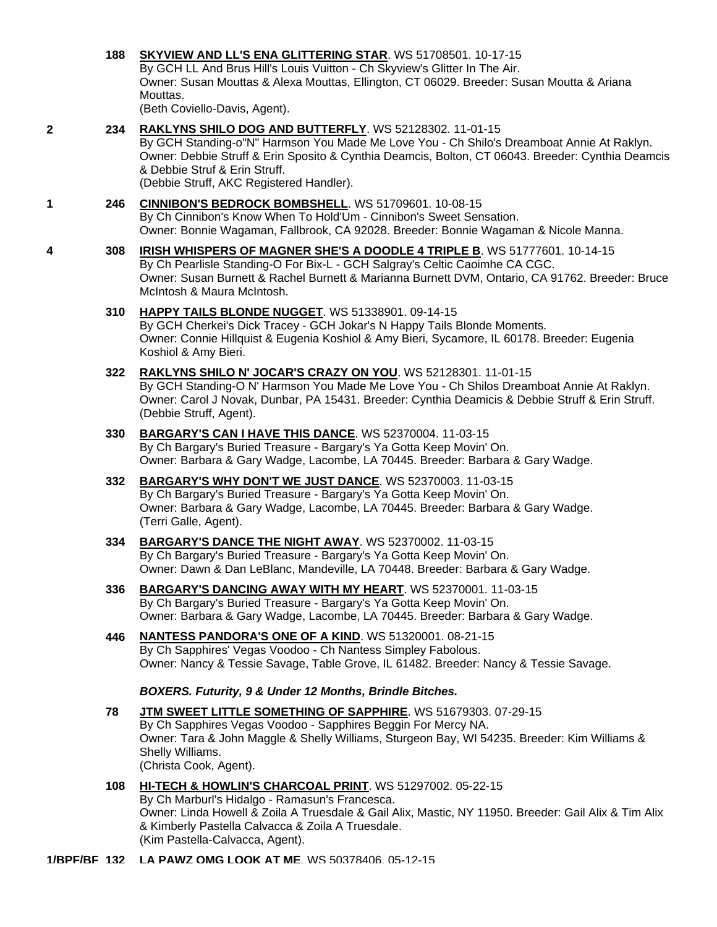## **188 [SKYVIEW AND LL'S ENA GLITTERING STAR](http://infodog.com/my/drlookup2.htm?makc=WS%2051708501&mdog=Skyview+And+LL%27S+Ena+Glittering+Star&wins=all)**. WS 51708501. 10-17-15

By GCH LL And Brus Hill's Louis Vuitton - Ch Skyview's Glitter In The Air. Owner: Susan Mouttas & Alexa Mouttas, Ellington, CT 06029. Breeder: Susan Moutta & Ariana Mouttas.

(Beth Coviello-Davis, Agent).

**2 234 [RAKLYNS SHILO DOG AND BUTTERFLY](http://infodog.com/my/drlookup2.htm?makc=WS%2052128302&mdog=Raklyns+Shilo+Dog+And+Butterfly&wins=all)**. WS 52128302. 11-01-15

By GCH Standing-o"N" Harmson You Made Me Love You - Ch Shilo's Dreamboat Annie At Raklyn. Owner: Debbie Struff & Erin Sposito & Cynthia Deamcis, Bolton, CT 06043. Breeder: Cynthia Deamcis & Debbie Struf & Erin Struff. (Debbie Struff, AKC Registered Handler).

## **1 246 [CINNIBON'S BEDROCK BOMBSHELL](http://infodog.com/my/drlookup2.htm?makc=WS%2051709601&mdog=Cinnibon%27s+Bedrock+Bombshell&wins=all)**. WS 51709601. 10-08-15

By Ch Cinnibon's Know When To Hold'Um - Cinnibon's Sweet Sensation.

Owner: Bonnie Wagaman, Fallbrook, CA 92028. Breeder: Bonnie Wagaman & Nicole Manna.

- **4 308 [IRISH WHISPERS OF MAGNER SHE'S A DOODLE 4 TRIPLE B](http://infodog.com/my/drlookup2.htm?makc=WS%2051777601&mdog=Irish+Whispers+Of+Magner+She%27s+A+Doodle+4+Triple+B&wins=all)**. WS 51777601. 10-14-15 By Ch Pearlisle Standing-O For Bix-L - GCH Salgray's Celtic Caoimhe CA CGC. Owner: Susan Burnett & Rachel Burnett & Marianna Burnett DVM, Ontario, CA 91762. Breeder: Bruce McIntosh & Maura McIntosh.
	- **310 [HAPPY TAILS BLONDE NUGGET](http://infodog.com/my/drlookup2.htm?makc=WS%2051338901&mdog=Happy+Tails+Blonde+Nugget&wins=all)**. WS 51338901. 09-14-15 By GCH Cherkei's Dick Tracey - GCH Jokar's N Happy Tails Blonde Moments.

Owner: Connie Hillquist & Eugenia Koshiol & Amy Bieri, Sycamore, IL 60178. Breeder: Eugenia Koshiol & Amy Bieri.

- **322 [RAKLYNS SHILO N' JOCAR'S CRAZY ON YOU](http://infodog.com/my/drlookup2.htm?makc=WS%2052128301&mdog=Raklyns+Shilo+N%27+JoCar%27s+Crazy+On+You&wins=all)**. WS 52128301. 11-01-15 By GCH Standing-O N' Harmson You Made Me Love You - Ch Shilos Dreamboat Annie At Raklyn. Owner: Carol J Novak, Dunbar, PA 15431. Breeder: Cynthia Deamicis & Debbie Struff & Erin Struff. (Debbie Struff, Agent).
- **330 [BARGARY'S CAN I HAVE THIS DANCE](http://infodog.com/my/drlookup2.htm?makc=WS%2052370004&mdog=Bargary%27s+Can+I+Have+This+Dance&wins=all)**. WS 52370004. 11-03-15 By Ch Bargary's Buried Treasure - Bargary's Ya Gotta Keep Movin' On. Owner: Barbara & Gary Wadge, Lacombe, LA 70445. Breeder: Barbara & Gary Wadge.
- **332 [BARGARY'S WHY DON'T WE JUST DANCE](http://infodog.com/my/drlookup2.htm?makc=WS%2052370003&mdog=Bargary%27s+Why+Don%27t+We+Just+Dance&wins=all)**. WS 52370003. 11-03-15 By Ch Bargary's Buried Treasure - Bargary's Ya Gotta Keep Movin' On. Owner: Barbara & Gary Wadge, Lacombe, LA 70445. Breeder: Barbara & Gary Wadge. (Terri Galle, Agent).
- **334 [BARGARY'S DANCE THE NIGHT AWAY](http://infodog.com/my/drlookup2.htm?makc=WS%2052370002&mdog=Bargary%27s+Dance+The+Night+Away&wins=all)**. WS 52370002. 11-03-15 By Ch Bargary's Buried Treasure - Bargary's Ya Gotta Keep Movin' On. Owner: Dawn & Dan LeBlanc, Mandeville, LA 70448. Breeder: Barbara & Gary Wadge.
- **336 [BARGARY'S DANCING AWAY WITH MY HEART](http://infodog.com/my/drlookup2.htm?makc=WS%2052370001&mdog=Bargary%27s+Dancing+Away+With+My+Heart&wins=all)**. WS 52370001. 11-03-15 By Ch Bargary's Buried Treasure - Bargary's Ya Gotta Keep Movin' On. Owner: Barbara & Gary Wadge, Lacombe, LA 70445. Breeder: Barbara & Gary Wadge.
- **446 [NANTESS PANDORA'S ONE OF A KIND](http://infodog.com/my/drlookup2.htm?makc=WS%2051320001&mdog=Nantess+Pandora%27s+One+Of+A+Kind&wins=all)**. WS 51320001. 08-21-15 By Ch Sapphires' Vegas Voodoo - Ch Nantess Simpley Fabolous. Owner: Nancy & Tessie Savage, Table Grove, IL 61482. Breeder: Nancy & Tessie Savage.

## *BOXERS. Futurity, 9 & Under 12 Months, Brindle Bitches.*

**78 [JTM SWEET LITTLE SOMETHING OF SAPPHIRE](http://infodog.com/my/drlookup2.htm?makc=WS%2051679303&mdog=JTM+Sweet+Little+Something+Of+Sapphire&wins=all)**. WS 51679303. 07-29-15 By Ch Sapphires Vegas Voodoo - Sapphires Beggin For Mercy NA. Owner: Tara & John Maggle & Shelly Williams, Sturgeon Bay, WI 54235. Breeder: Kim Williams & Shelly Williams. (Christa Cook, Agent).

**108 [HI-TECH & HOWLIN'S CHARCOAL PRINT](http://infodog.com/my/drlookup2.htm?makc=WS%2051297002&mdog=Hi-Tech+&+Howlin%27s+Charcoal+Print&wins=all)**. WS 51297002. 05-22-15 By Ch Marburl's Hidalgo - Ramasun's Francesca. Owner: Linda Howell & Zoila A Truesdale & Gail Alix, Mastic, NY 11950. Breeder: Gail Alix & Tim Alix & Kimberly Pastella Calvacca & Zoila A Truesdale. (Kim Pastella-Calvacca, Agent).

**1/BPF/BF 132 [LA PAWZ OMG LOOK AT ME](http://infodog.com/my/drlookup2.htm?makc=WS%2050378406&mdog=La+Pawz+OMG+Look+At+Me&wins=all)**. WS 50378406. 05-12-15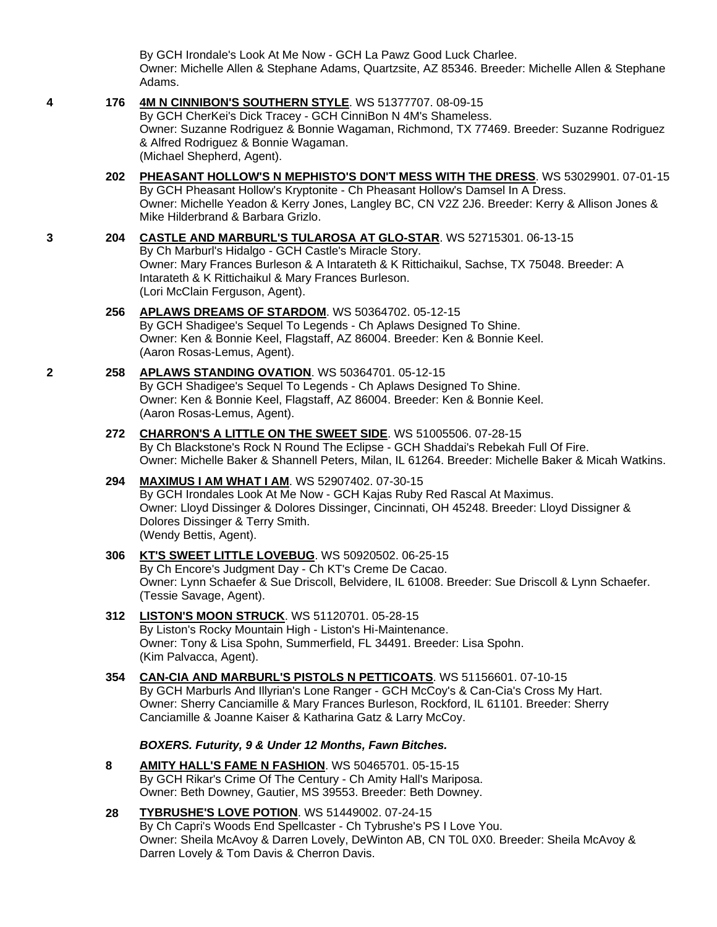By GCH Irondale's Look At Me Now - GCH La Pawz Good Luck Charlee. Owner: Michelle Allen & Stephane Adams, Quartzsite, AZ 85346. Breeder: Michelle Allen & Stephane Adams.

#### **4 176 [4M N CINNIBON'S SOUTHERN STYLE](http://infodog.com/my/drlookup2.htm?makc=WS%2051377707&mdog=4M+N+CinniBon%27s+Southern+Style&wins=all)**. WS 51377707. 08-09-15

By GCH CherKei's Dick Tracey - GCH CinniBon N 4M's Shameless. Owner: Suzanne Rodriguez & Bonnie Wagaman, Richmond, TX 77469. Breeder: Suzanne Rodriguez & Alfred Rodriguez & Bonnie Wagaman. (Michael Shepherd, Agent).

**202 [PHEASANT HOLLOW'S N MEPHISTO'S DON'T MESS WITH THE DRESS](http://infodog.com/my/drlookup2.htm?makc=WS%2053029901&mdog=Pheasant+Hollow%27s+N+Mephisto%27s+Don%27t+Mess+With+The+Dress&wins=all)**. WS 53029901. 07-01-15 By GCH Pheasant Hollow's Kryptonite - Ch Pheasant Hollow's Damsel In A Dress. Owner: Michelle Yeadon & Kerry Jones, Langley BC, CN V2Z 2J6. Breeder: Kerry & Allison Jones & Mike Hilderbrand & Barbara Grizlo.

## **3 204 [CASTLE AND MARBURL'S TULAROSA AT GLO-STAR](http://infodog.com/my/drlookup2.htm?makc=WS%2052715301&mdog=Castle+And+Marburl%27s+Tularosa+At+Glo-Star&wins=all)**. WS 52715301. 06-13-15 By Ch Marburl's Hidalgo - GCH Castle's Miracle Story. Owner: Mary Frances Burleson & A Intarateth & K Rittichaikul, Sachse, TX 75048. Breeder: A Intarateth & K Rittichaikul & Mary Frances Burleson.

(Lori McClain Ferguson, Agent).

#### **256 [APLAWS DREAMS OF STARDOM](http://infodog.com/my/drlookup2.htm?makc=WS%2050364702&mdog=Aplaws+Dreams+Of+Stardom&wins=all)**. WS 50364702. 05-12-15 By GCH Shadigee's Sequel To Legends - Ch Aplaws Designed To Shine. Owner: Ken & Bonnie Keel, Flagstaff, AZ 86004. Breeder: Ken & Bonnie Keel.

(Aaron Rosas-Lemus, Agent).

## **2 258 [APLAWS STANDING OVATION](http://infodog.com/my/drlookup2.htm?makc=WS%2050364701&mdog=Aplaws+Standing+Ovation&wins=all)**. WS 50364701. 05-12-15

By GCH Shadigee's Sequel To Legends - Ch Aplaws Designed To Shine. Owner: Ken & Bonnie Keel, Flagstaff, AZ 86004. Breeder: Ken & Bonnie Keel. (Aaron Rosas-Lemus, Agent).

## **272 [CHARRON'S A LITTLE ON THE SWEET SIDE](http://infodog.com/my/drlookup2.htm?makc=WS%2051005506&mdog=Charron%27s+A+Little+On+The+Sweet+Side&wins=all)**. WS 51005506. 07-28-15 By Ch Blackstone's Rock N Round The Eclipse - GCH Shaddai's Rebekah Full Of Fire. Owner: Michelle Baker & Shannell Peters, Milan, IL 61264. Breeder: Michelle Baker & Micah Watkins.

#### **294 [MAXIMUS I AM WHAT I AM](http://infodog.com/my/drlookup2.htm?makc=WS%2052907402&mdog=Maximus+I+Am+What+I+Am&wins=all)**. WS 52907402. 07-30-15 By GCH Irondales Look At Me Now - GCH Kajas Ruby Red Rascal At Maximus. Owner: Lloyd Dissinger & Dolores Dissinger, Cincinnati, OH 45248. Breeder: Lloyd Dissigner & Dolores Dissinger & Terry Smith. (Wendy Bettis, Agent).

#### **306 [KT'S SWEET LITTLE LOVEBUG](http://infodog.com/my/drlookup2.htm?makc=WS%2050920502&mdog=KT%27s+Sweet+Little+Lovebug&wins=all)**. WS 50920502. 06-25-15 By Ch Encore's Judgment Day - Ch KT's Creme De Cacao. Owner: Lynn Schaefer & Sue Driscoll, Belvidere, IL 61008. Breeder: Sue Driscoll & Lynn Schaefer. (Tessie Savage, Agent).

#### **312 [LISTON'S MOON STRUCK](http://infodog.com/my/drlookup2.htm?makc=WS%2051120701&mdog=Liston%27s+Moon+Struck&wins=all)**. WS 51120701. 05-28-15 By Liston's Rocky Mountain High - Liston's Hi-Maintenance. Owner: Tony & Lisa Spohn, Summerfield, FL 34491. Breeder: Lisa Spohn. (Kim Palvacca, Agent).

#### **354 [CAN-CIA AND MARBURL'S PISTOLS N PETTICOATS](http://infodog.com/my/drlookup2.htm?makc=WS%2051156601&mdog=Can-Cia+And+Marburl%27s+Pistols+N+Petticoats&wins=all)**. WS 51156601. 07-10-15 By GCH Marburls And Illyrian's Lone Ranger - GCH McCoy's & Can-Cia's Cross My Hart. Owner: Sherry Canciamille & Mary Frances Burleson, Rockford, IL 61101. Breeder: Sherry Canciamille & Joanne Kaiser & Katharina Gatz & Larry McCoy.

## *BOXERS. Futurity, 9 & Under 12 Months, Fawn Bitches.*

**8 [AMITY HALL'S FAME N FASHION](http://infodog.com/my/drlookup2.htm?makc=WS%2050465701&mdog=Amity+Hall%27s+Fame+N+Fashion&wins=all)**. WS 50465701. 05-15-15 By GCH Rikar's Crime Of The Century - Ch Amity Hall's Mariposa. Owner: Beth Downey, Gautier, MS 39553. Breeder: Beth Downey.

#### **28 [TYBRUSHE'S LOVE POTION](http://infodog.com/my/drlookup2.htm?makc=WS%2051449002&mdog=Tybrushe%27s+Love+Potion&wins=all)**. WS 51449002. 07-24-15 By Ch Capri's Woods End Spellcaster - Ch Tybrushe's PS I Love You. Owner: Sheila McAvoy & Darren Lovely, DeWinton AB, CN T0L 0X0. Breeder: Sheila McAvoy & Darren Lovely & Tom Davis & Cherron Davis.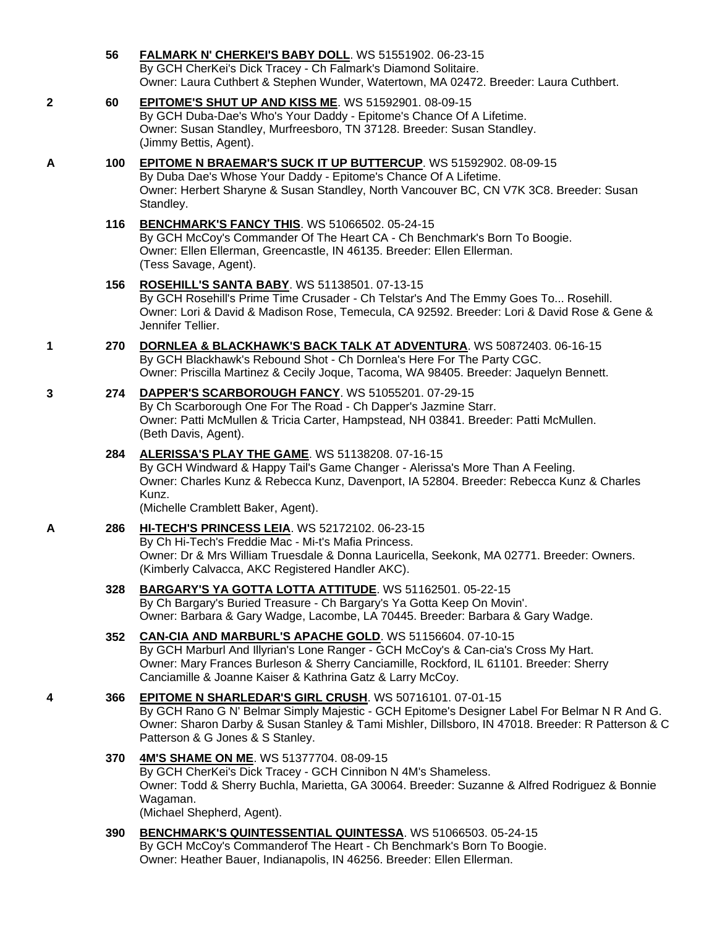- **56 [FALMARK N' CHERKEI'S BABY DOLL](http://infodog.com/my/drlookup2.htm?makc=WS%2051551902&mdog=Falmark+N%27+CherKei%27s+Baby+Doll&wins=all)**. WS 51551902. 06-23-15 By GCH CherKei's Dick Tracey - Ch Falmark's Diamond Solitaire. Owner: Laura Cuthbert & Stephen Wunder, Watertown, MA 02472. Breeder: Laura Cuthbert.
- **2 60 [EPITOME'S SHUT UP AND KISS ME](http://infodog.com/my/drlookup2.htm?makc=WS%2051592901&mdog=Epitome%27s+Shut+Up+And+Kiss+Me&wins=all)**. WS 51592901. 08-09-15 By GCH Duba-Dae's Who's Your Daddy - Epitome's Chance Of A Lifetime. Owner: Susan Standley, Murfreesboro, TN 37128. Breeder: Susan Standley. (Jimmy Bettis, Agent).
- **A 100 [EPITOME N BRAEMAR'S SUCK IT UP BUTTERCUP](http://infodog.com/my/drlookup2.htm?makc=WS%2051592902&mdog=Epitome+N+Braemar%27s+Suck+It+Up+Buttercup&wins=all)**. WS 51592902. 08-09-15 By Duba Dae's Whose Your Daddy - Epitome's Chance Of A Lifetime. Owner: Herbert Sharyne & Susan Standley, North Vancouver BC, CN V7K 3C8. Breeder: Susan Standley.
	- **116 [BENCHMARK'S FANCY THIS](http://infodog.com/my/drlookup2.htm?makc=WS%2051066502&mdog=Benchmark%27s+Fancy+This&wins=all)**. WS 51066502. 05-24-15 By GCH McCoy's Commander Of The Heart CA - Ch Benchmark's Born To Boogie. Owner: Ellen Ellerman, Greencastle, IN 46135. Breeder: Ellen Ellerman. (Tess Savage, Agent).
	- **156 [ROSEHILL'S SANTA BABY](http://infodog.com/my/drlookup2.htm?makc=WS%2051138501&mdog=Rosehill%27s+Santa+Baby&wins=all)**. WS 51138501. 07-13-15 By GCH Rosehill's Prime Time Crusader - Ch Telstar's And The Emmy Goes To... Rosehill. Owner: Lori & David & Madison Rose, Temecula, CA 92592. Breeder: Lori & David Rose & Gene & Jennifer Tellier.
- **1 270 [DORNLEA & BLACKHAWK'S BACK TALK AT ADVENTURA](http://infodog.com/my/drlookup2.htm?makc=WS%2050872403&mdog=Dornlea+&+Blackhawk%27s+Back+Talk+At+Adventura&wins=all)**. WS 50872403. 06-16-15 By GCH Blackhawk's Rebound Shot - Ch Dornlea's Here For The Party CGC. Owner: Priscilla Martinez & Cecily Joque, Tacoma, WA 98405. Breeder: Jaquelyn Bennett.
- **3 274 [DAPPER'S SCARBOROUGH FANCY](http://infodog.com/my/drlookup2.htm?makc=WS%2051055201&mdog=Dapper%27s+Scarborough+Fancy&wins=all)**. WS 51055201. 07-29-15 By Ch Scarborough One For The Road - Ch Dapper's Jazmine Starr. Owner: Patti McMullen & Tricia Carter, Hampstead, NH 03841. Breeder: Patti McMullen. (Beth Davis, Agent).
	- **284 [ALERISSA'S PLAY THE GAME](http://infodog.com/my/drlookup2.htm?makc=WS%2051138208&mdog=Alerissa%27s+Play+The+Game&wins=all)**. WS 51138208. 07-16-15 By GCH Windward & Happy Tail's Game Changer - Alerissa's More Than A Feeling. Owner: Charles Kunz & Rebecca Kunz, Davenport, IA 52804. Breeder: Rebecca Kunz & Charles Kunz.

(Michelle Cramblett Baker, Agent).

- **A 286 [HI-TECH'S PRINCESS LEIA](http://infodog.com/my/drlookup2.htm?makc=WS%2052172102&mdog=Hi-Tech%27s+Princess+Leia&wins=all)**. WS 52172102. 06-23-15 By Ch Hi-Tech's Freddie Mac - Mi-t's Mafia Princess. Owner: Dr & Mrs William Truesdale & Donna Lauricella, Seekonk, MA 02771. Breeder: Owners. (Kimberly Calvacca, AKC Registered Handler AKC).
	- **328 [BARGARY'S YA GOTTA LOTTA ATTITUDE](http://infodog.com/my/drlookup2.htm?makc=WS%2051162501&mdog=Bargary%27s+Ya+Gotta+Lotta+Attitude&wins=all)**. WS 51162501. 05-22-15 By Ch Bargary's Buried Treasure - Ch Bargary's Ya Gotta Keep On Movin'. Owner: Barbara & Gary Wadge, Lacombe, LA 70445. Breeder: Barbara & Gary Wadge.
	- **352 [CAN-CIA AND MARBURL'S APACHE GOLD](http://infodog.com/my/drlookup2.htm?makc=WS%2051156604&mdog=Can-Cia+And+Marburl%27s+Apache+Gold&wins=all)**. WS 51156604. 07-10-15 By GCH Marburl And Illyrian's Lone Ranger - GCH McCoy's & Can-cia's Cross My Hart. Owner: Mary Frances Burleson & Sherry Canciamille, Rockford, IL 61101. Breeder: Sherry Canciamille & Joanne Kaiser & Kathrina Gatz & Larry McCoy.
- **4 366 [EPITOME N SHARLEDAR'S GIRL CRUSH](http://infodog.com/my/drlookup2.htm?makc=WS%2050716101&mdog=Epitome+N+Sharledar%27s+Girl+Crush&wins=all)**. WS 50716101. 07-01-15 By GCH Rano G N' Belmar Simply Majestic - GCH Epitome's Designer Label For Belmar N R And G. Owner: Sharon Darby & Susan Stanley & Tami Mishler, Dillsboro, IN 47018. Breeder: R Patterson & C Patterson & G Jones & S Stanley.
	- **370 [4M'S SHAME ON ME](http://infodog.com/my/drlookup2.htm?makc=WS%2051377704&mdog=4M%27s+Shame+On+Me&wins=all)**. WS 51377704. 08-09-15 By GCH CherKei's Dick Tracey - GCH Cinnibon N 4M's Shameless. Owner: Todd & Sherry Buchla, Marietta, GA 30064. Breeder: Suzanne & Alfred Rodriguez & Bonnie Wagaman. (Michael Shepherd, Agent).
	- **390 [BENCHMARK'S QUINTESSENTIAL QUINTESSA](http://infodog.com/my/drlookup2.htm?makc=WS%2051066503&mdog=Benchmark%27s+Quintessential+Quintessa&wins=all)**. WS 51066503. 05-24-15 By GCH McCoy's Commanderof The Heart - Ch Benchmark's Born To Boogie. Owner: Heather Bauer, Indianapolis, IN 46256. Breeder: Ellen Ellerman.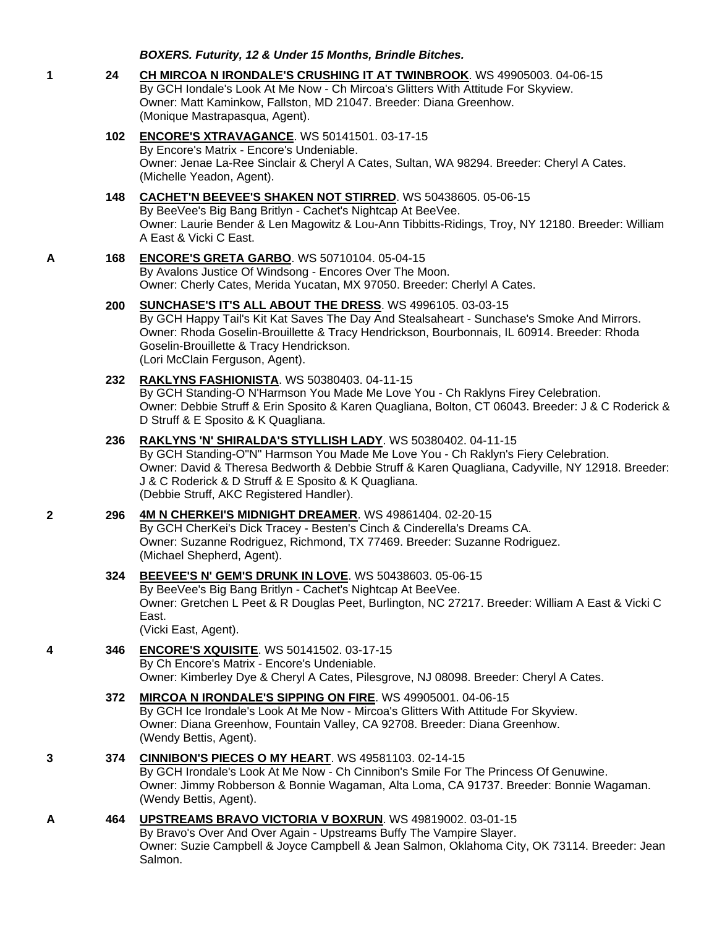*BOXERS. Futurity, 12 & Under 15 Months, Brindle Bitches.*

- **1 24 [CH MIRCOA N IRONDALE'S CRUSHING IT AT TWINBROOK](http://infodog.com/my/drlookup2.htm?makc=WS%2049905003&mdog=Ch+Mircoa+N+Irondale%27s+Crushing+It+At+Twinbrook&wins=all)**. WS 49905003. 04-06-15 By GCH Iondale's Look At Me Now - Ch Mircoa's Glitters With Attitude For Skyview. Owner: Matt Kaminkow, Fallston, MD 21047. Breeder: Diana Greenhow. (Monique Mastrapasqua, Agent).
	- **102 [ENCORE'S XTRAVAGANCE](http://infodog.com/my/drlookup2.htm?makc=WS%2050141501&mdog=Encore%27s+Xtravagance&wins=all)**. WS 50141501. 03-17-15 By Encore's Matrix - Encore's Undeniable. Owner: Jenae La-Ree Sinclair & Cheryl A Cates, Sultan, WA 98294. Breeder: Cheryl A Cates. (Michelle Yeadon, Agent).

#### **148 [CACHET'N BEEVEE'S SHAKEN NOT STIRRED](http://infodog.com/my/drlookup2.htm?makc=WS%2050438605&mdog=Cachet%27N+Beevee%27s+Shaken+Not+Stirred&wins=all)**. WS 50438605. 05-06-15 By BeeVee's Big Bang Britlyn - Cachet's Nightcap At BeeVee. Owner: Laurie Bender & Len Magowitz & Lou-Ann Tibbitts-Ridings, Troy, NY 12180. Breeder: William A East & Vicki C East.

#### **A 168 [ENCORE'S GRETA GARBO](http://infodog.com/my/drlookup2.htm?makc=WS%2050710104&mdog=Encore%27s+Greta+Garbo&wins=all)**. WS 50710104. 05-04-15 By Avalons Justice Of Windsong - Encores Over The Moon. Owner: Cherly Cates, Merida Yucatan, MX 97050. Breeder: Cherlyl A Cates.

#### **200 [SUNCHASE'S IT'S ALL ABOUT THE DRESS](http://infodog.com/my/drlookup2.htm?makc=WS%204996105&mdog=Sunchase%27s+It%27s+All+About+The+Dress&wins=all)**. WS 4996105. 03-03-15

By GCH Happy Tail's Kit Kat Saves The Day And Stealsaheart - Sunchase's Smoke And Mirrors. Owner: Rhoda Goselin-Brouillette & Tracy Hendrickson, Bourbonnais, IL 60914. Breeder: Rhoda Goselin-Brouillette & Tracy Hendrickson. (Lori McClain Ferguson, Agent).

#### **232 [RAKLYNS FASHIONISTA](http://infodog.com/my/drlookup2.htm?makc=WS%2050380403&mdog=Raklyns+Fashionista&wins=all)**. WS 50380403. 04-11-15

By GCH Standing-O N'Harmson You Made Me Love You - Ch Raklyns Firey Celebration. Owner: Debbie Struff & Erin Sposito & Karen Quagliana, Bolton, CT 06043. Breeder: J & C Roderick & D Struff & E Sposito & K Quagliana.

#### **236 [RAKLYNS 'N' SHIRALDA'S STYLLISH LADY](http://infodog.com/my/drlookup2.htm?makc=WS%2050380402&mdog=Raklyns+%27N%27+Shiralda%27s+Styllish+Lady&wins=all)**. WS 50380402. 04-11-15

By GCH Standing-O"N" Harmson You Made Me Love You - Ch Raklyn's Fiery Celebration. Owner: David & Theresa Bedworth & Debbie Struff & Karen Quagliana, Cadyville, NY 12918. Breeder: J & C Roderick & D Struff & E Sposito & K Quagliana. (Debbie Struff, AKC Registered Handler).

## **2 296 [4M N CHERKEI'S MIDNIGHT DREAMER](http://infodog.com/my/drlookup2.htm?makc=WS%2049861404&mdog=4M+N+CherKei%27s+Midnight+Dreamer&wins=all)**. WS 49861404. 02-20-15

By GCH CherKei's Dick Tracey - Besten's Cinch & Cinderella's Dreams CA. Owner: Suzanne Rodriguez, Richmond, TX 77469. Breeder: Suzanne Rodriguez. (Michael Shepherd, Agent).

## **324 [BEEVEE'S N' GEM'S DRUNK IN LOVE](http://infodog.com/my/drlookup2.htm?makc=WS%2050438603&mdog=BeeVee%27s+N%27+Gem%27s+Drunk+In+Love&wins=all)**. WS 50438603. 05-06-15

By BeeVee's Big Bang Britlyn - Cachet's Nightcap At BeeVee. Owner: Gretchen L Peet & R Douglas Peet, Burlington, NC 27217. Breeder: William A East & Vicki C East.

(Vicki East, Agent).

## **4 346 [ENCORE'S XQUISITE](http://infodog.com/my/drlookup2.htm?makc=WS%2050141502&mdog=Encore%27s+Xquisite&wins=all)**. WS 50141502. 03-17-15

By Ch Encore's Matrix - Encore's Undeniable. Owner: Kimberley Dye & Cheryl A Cates, Pilesgrove, NJ 08098. Breeder: Cheryl A Cates.

#### **372 [MIRCOA N IRONDALE'S SIPPING ON FIRE](http://infodog.com/my/drlookup2.htm?makc=WS%2049905001&mdog=Mircoa+N+Irondale%27s+Sipping+On+Fire&wins=all)**. WS 49905001. 04-06-15 By GCH Ice Irondale's Look At Me Now - Mircoa's Glitters With Attitude For Skyview.

Owner: Diana Greenhow, Fountain Valley, CA 92708. Breeder: Diana Greenhow. (Wendy Bettis, Agent).

## **3 374 [CINNIBON'S PIECES O MY HEART](http://infodog.com/my/drlookup2.htm?makc=WS%2049581103&mdog=Cinnibon%27s+Pieces+O+My+Heart&wins=all)**. WS 49581103. 02-14-15

By GCH Irondale's Look At Me Now - Ch Cinnibon's Smile For The Princess Of Genuwine. Owner: Jimmy Robberson & Bonnie Wagaman, Alta Loma, CA 91737. Breeder: Bonnie Wagaman. (Wendy Bettis, Agent).

## **A 464 [UPSTREAMS BRAVO VICTORIA V BOXRUN](http://infodog.com/my/drlookup2.htm?makc=WS%2049819002&mdog=Upstreams+Bravo+Victoria+V+BoxRun&wins=all)**. WS 49819002. 03-01-15

By Bravo's Over And Over Again - Upstreams Buffy The Vampire Slayer. Owner: Suzie Campbell & Joyce Campbell & Jean Salmon, Oklahoma City, OK 73114. Breeder: Jean Salmon.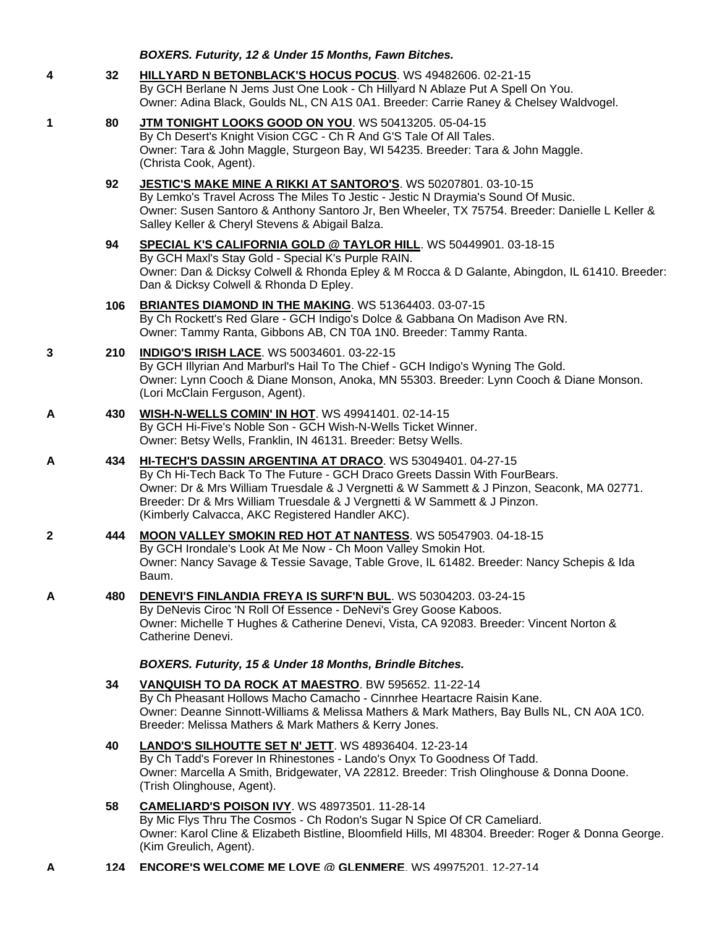| BOXERS. Futurity, 12 & Under 15 Months, Fawn Bitches. |  |  |  |  |  |
|-------------------------------------------------------|--|--|--|--|--|
|-------------------------------------------------------|--|--|--|--|--|

- **4 32 [HILLYARD N BETONBLACK'S HOCUS POCUS](http://infodog.com/my/drlookup2.htm?makc=WS%2049482606&mdog=Hillyard+N+BetOnBlack%27s+Hocus+Pocus&wins=all)**. WS 49482606. 02-21-15 By GCH Berlane N Jems Just One Look - Ch Hillyard N Ablaze Put A Spell On You. Owner: Adina Black, Goulds NL, CN A1S 0A1. Breeder: Carrie Raney & Chelsey Waldvogel.
- **1 80 [JTM TONIGHT LOOKS GOOD ON YOU](http://infodog.com/my/drlookup2.htm?makc=WS%2050413205&mdog=JTM+Tonight+Looks+Good+On+You&wins=all)**. WS 50413205. 05-04-15 By Ch Desert's Knight Vision CGC - Ch R And G'S Tale Of All Tales. Owner: Tara & John Maggle, Sturgeon Bay, WI 54235. Breeder: Tara & John Maggle. (Christa Cook, Agent).
	- **92 [JESTIC'S MAKE MINE A RIKKI AT](http://infodog.com/my/drlookup2.htm?makc=WS%2050207801&mdog=Jestic%27s+Make+Mine+A+Rikki+At+Santoro%27s&wins=all) SANTORO'S**. WS 50207801. 03-10-15 By Lemko's Travel Across The Miles To Jestic - Jestic N Draymia's Sound Of Music. Owner: Susen Santoro & Anthony Santoro Jr, Ben Wheeler, TX 75754. Breeder: Danielle L Keller & Salley Keller & Cheryl Stevens & Abigail Balza.
	- **94 [SPECIAL K'S CALIFORNIA GOLD @ TAYLOR HILL](http://infodog.com/my/drlookup2.htm?makc=WS%2050449901&mdog=Special+K%27s+California+Gold+@+Taylor+Hill&wins=all)**. WS 50449901. 03-18-15 By GCH Maxl's Stay Gold - Special K's Purple RAIN. Owner: Dan & Dicksy Colwell & Rhonda Epley & M Rocca & D Galante, Abingdon, IL 61410. Breeder: Dan & Dicksy Colwell & Rhonda D Epley.
	- **106 [BRIANTES DIAMOND IN THE MAKING](http://infodog.com/my/drlookup2.htm?makc=WS%2051364403&mdog=Briantes+Diamond+In+The+Making&wins=all)**. WS 51364403. 03-07-15 By Ch Rockett's Red Glare - GCH Indigo's Dolce & Gabbana On Madison Ave RN. Owner: Tammy Ranta, Gibbons AB, CN T0A 1N0. Breeder: Tammy Ranta.
- **3 210 [INDIGO'S IRISH LACE](http://infodog.com/my/drlookup2.htm?makc=WS%2050034601&mdog=Indigo%27s+Irish+Lace&wins=all)**. WS 50034601. 03-22-15 By GCH Illyrian And Marburl's Hail To The Chief - GCH Indigo's Wyning The Gold. Owner: Lynn Cooch & Diane Monson, Anoka, MN 55303. Breeder: Lynn Cooch & Diane Monson. (Lori McClain Ferguson, Agent).
- **A 430 [WISH-N-WELLS COMIN' IN HOT](http://infodog.com/my/drlookup2.htm?makc=WS%2049941401&mdog=Wish-N-Wells+Comin%27+In+Hot&wins=all)**. WS 49941401. 02-14-15 By GCH Hi-Five's Noble Son - GCH Wish-N-Wells Ticket Winner. Owner: Betsy Wells, Franklin, IN 46131. Breeder: Betsy Wells.
- **A 434 [HI-TECH'S DASSIN ARGENTINA AT DRACO](http://infodog.com/my/drlookup2.htm?makc=WS%2053049401&mdog=Hi-Tech%27s+Dassin+Argentina+At+Draco&wins=all)**. WS 53049401. 04-27-15 By Ch Hi-Tech Back To The Future - GCH Draco Greets Dassin With FourBears. Owner: Dr & Mrs William Truesdale & J Vergnetti & W Sammett & J Pinzon, Seaconk, MA 02771. Breeder: Dr & Mrs William Truesdale & J Vergnetti & W Sammett & J Pinzon. (Kimberly Calvacca, AKC Registered Handler AKC).
- **2 444 [MOON VALLEY SMOKIN RED HOT AT NANTESS](http://infodog.com/my/drlookup2.htm?makc=WS%2050547903&mdog=Moon+Valley+Smokin+Red+Hot+At+Nantess&wins=all)**. WS 50547903. 04-18-15 By GCH Irondale's Look At Me Now - Ch Moon Valley Smokin Hot. Owner: Nancy Savage & Tessie Savage, Table Grove, IL 61482. Breeder: Nancy Schepis & Ida Baum.
- **A 480 [DENEVI'S FINLANDIA FREYA IS SURF'N BUL](http://infodog.com/my/drlookup2.htm?makc=WS%2050304203&mdog=DeNevi%27s+Finlandia+Freya+Is+Surf%27N+Bul&wins=all)**. WS 50304203. 03-24-15 By DeNevis Ciroc 'N Roll Of Essence - DeNevi's Grey Goose Kaboos. Owner: Michelle T Hughes & Catherine Denevi, Vista, CA 92083. Breeder: Vincent Norton & Catherine Denevi.

*BOXERS. Futurity, 15 & Under 18 Months, Brindle Bitches.*

- **34 [VANQUISH TO DA ROCK AT MAESTRO](http://infodog.com/my/drlookup2.htm?makc=BW%20595652&mdog=Vanquish+To+Da+Rock+At+Maestro&wins=all)**. BW 595652. 11-22-14 By Ch Pheasant Hollows Macho Camacho - Cinnrhee Heartacre Raisin Kane. Owner: Deanne Sinnott-Williams & Melissa Mathers & Mark Mathers, Bay Bulls NL, CN A0A 1C0. Breeder: Melissa Mathers & Mark Mathers & Kerry Jones.
- **40 [LANDO'S SILHOUTTE SET N' JETT](http://infodog.com/my/drlookup2.htm?makc=WS%2048936404&mdog=Lando%27s+Silhoutte+Set+N%27+Jett&wins=all)**. WS 48936404. 12-23-14 By Ch Tadd's Forever In Rhinestones - Lando's Onyx To Goodness Of Tadd. Owner: Marcella A Smith, Bridgewater, VA 22812. Breeder: Trish Olinghouse & Donna Doone. (Trish Olinghouse, Agent).
- **58 [CAMELIARD'S POISON IVY](http://infodog.com/my/drlookup2.htm?makc=WS%2048973501&mdog=Cameliard%27s+Poison+Ivy&wins=all)**. WS 48973501. 11-28-14 By Mic Flys Thru The Cosmos - Ch Rodon's Sugar N Spice Of CR Cameliard. Owner: Karol Cline & Elizabeth Bistline, Bloomfield Hills, MI 48304. Breeder: Roger & Donna George. (Kim Greulich, Agent).
- **A 124 [ENCORE'S WELCOME ME LOVE @ GLENMERE](http://infodog.com/my/drlookup2.htm?makc=WS%2049975201&mdog=Encore%27s+Welcome+Me+Love+@+Glenmere&wins=all)**. WS 49975201. 12-27-14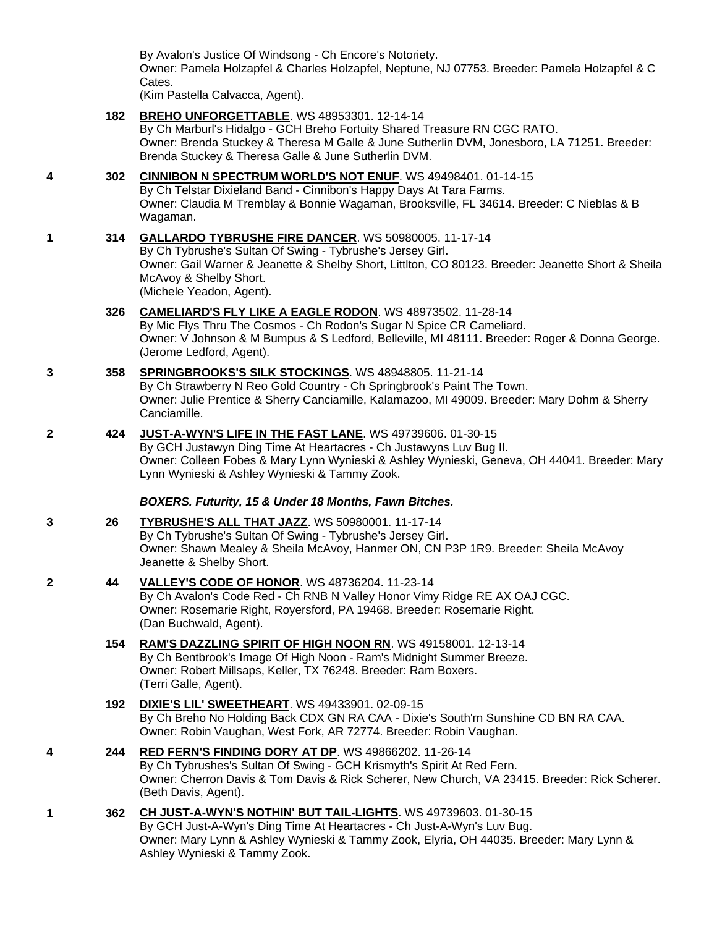By Avalon's Justice Of Windsong - Ch Encore's Notoriety.

Owner: Pamela Holzapfel & Charles Holzapfel, Neptune, NJ 07753. Breeder: Pamela Holzapfel & C Cates.

(Kim Pastella Calvacca, Agent).

**182 [BREHO UNFORGETTABLE](http://infodog.com/my/drlookup2.htm?makc=WS%2048953301&mdog=Breho+Unforgettable&wins=all)**. WS 48953301. 12-14-14

By Ch Marburl's Hidalgo - GCH Breho Fortuity Shared Treasure RN CGC RATO. Owner: Brenda Stuckey & Theresa M Galle & June Sutherlin DVM, Jonesboro, LA 71251. Breeder: Brenda Stuckey & Theresa Galle & June Sutherlin DVM.

- **4 302 [CINNIBON N SPECTRUM WORLD'S NOT ENUF](http://infodog.com/my/drlookup2.htm?makc=WS%2049498401&mdog=Cinnibon+N+Spectrum+World%27s+Not+Enuf&wins=all)**. WS 49498401. 01-14-15 By Ch Telstar Dixieland Band - Cinnibon's Happy Days At Tara Farms. Owner: Claudia M Tremblay & Bonnie Wagaman, Brooksville, FL 34614. Breeder: C Nieblas & B Wagaman.
- **1 314 [GALLARDO TYBRUSHE FIRE DANCER](http://infodog.com/my/drlookup2.htm?makc=WS%2050980005&mdog=Gallardo+Tybrushe+Fire+Dancer&wins=all)**. WS 50980005. 11-17-14 By Ch Tybrushe's Sultan Of Swing - Tybrushe's Jersey Girl. Owner: Gail Warner & Jeanette & Shelby Short, Littlton, CO 80123. Breeder: Jeanette Short & Sheila McAvoy & Shelby Short. (Michele Yeadon, Agent).

# **326 [CAMELIARD'S FLY LIKE A EAGLE RODON](http://infodog.com/my/drlookup2.htm?makc=WS%2048973502&mdog=Cameliard%27s+Fly+Like+A+Eagle+Rodon&wins=all)**. WS 48973502. 11-28-14 By Mic Flys Thru The Cosmos - Ch Rodon's Sugar N Spice CR Cameliard.

Owner: V Johnson & M Bumpus & S Ledford, Belleville, MI 48111. Breeder: Roger & Donna George. (Jerome Ledford, Agent).

- **3 358 [SPRINGBROOKS'S SILK STOCKINGS](http://infodog.com/my/drlookup2.htm?makc=WS%2048948805&mdog=Springbrooks%27s+Silk+Stockings&wins=all)**. WS 48948805. 11-21-14 By Ch Strawberry N Reo Gold Country - Ch Springbrook's Paint The Town. Owner: Julie Prentice & Sherry Canciamille, Kalamazoo, MI 49009. Breeder: Mary Dohm & Sherry Canciamille.
- **2 424 [JUST-A-WYN'S LIFE IN THE FAST LANE](http://infodog.com/my/drlookup2.htm?makc=WS%2049739606&mdog=Just-A-Wyn%27s+Life+In+The+Fast+Lane&wins=all)**. WS 49739606. 01-30-15 By GCH Justawyn Ding Time At Heartacres - Ch Justawyns Luv Bug II. Owner: Colleen Fobes & Mary Lynn Wynieski & Ashley Wynieski, Geneva, OH 44041. Breeder: Mary Lynn Wynieski & Ashley Wynieski & Tammy Zook.

## *BOXERS. Futurity, 15 & Under 18 Months, Fawn Bitches.*

- **3 26 [TYBRUSHE'S ALL THAT JAZZ](http://infodog.com/my/drlookup2.htm?makc=WS%2050980001&mdog=Tybrushe%27s+All+That+Jazz&wins=all)**. WS 50980001. 11-17-14 By Ch Tybrushe's Sultan Of Swing - Tybrushe's Jersey Girl. Owner: Shawn Mealey & Sheila McAvoy, Hanmer ON, CN P3P 1R9. Breeder: Sheila McAvoy Jeanette & Shelby Short.
- **2 44 [VALLEY'S CODE OF HONOR](http://infodog.com/my/drlookup2.htm?makc=WS%2048736204&mdog=Valley%27s+Code+Of+Honor&wins=all)**. WS 48736204. 11-23-14 By Ch Avalon's Code Red - Ch RNB N Valley Honor Vimy Ridge RE AX OAJ CGC. Owner: Rosemarie Right, Royersford, PA 19468. Breeder: Rosemarie Right. (Dan Buchwald, Agent).
	- **154 [RAM'S DAZZLING SPIRIT OF HIGH NOON RN](http://infodog.com/my/drlookup2.htm?makc=WS%2049158001&mdog=Ram%27s+Dazzling+Spirit+Of+High+Noon+RN&wins=all)**. WS 49158001. 12-13-14 By Ch Bentbrook's Image Of High Noon - Ram's Midnight Summer Breeze. Owner: Robert Millsaps, Keller, TX 76248. Breeder: Ram Boxers. (Terri Galle, Agent).
	- **192 [DIXIE'S LIL' SWEETHEART](http://infodog.com/my/drlookup2.htm?makc=WS%2049433901&mdog=Dixie%27s+Lil%27+Sweetheart&wins=all)**. WS 49433901. 02-09-15 By Ch Breho No Holding Back CDX GN RA CAA - Dixie's South'rn Sunshine CD BN RA CAA. Owner: Robin Vaughan, West Fork, AR 72774. Breeder: Robin Vaughan.
- **4 244 [RED FERN'S FINDING DORY AT DP](http://infodog.com/my/drlookup2.htm?makc=WS%2049866202&mdog=Red+Fern%27s+Finding+Dory+At+DP&wins=all)**. WS 49866202. 11-26-14 By Ch Tybrushes's Sultan Of Swing - GCH Krismyth's Spirit At Red Fern. Owner: Cherron Davis & Tom Davis & Rick Scherer, New Church, VA 23415. Breeder: Rick Scherer. (Beth Davis, Agent).
- **1 362 [CH JUST-A-WYN'S NOTHIN' BUT TAIL-LIGHTS](http://infodog.com/my/drlookup2.htm?makc=WS%2049739603&mdog=Ch+Just-A-Wyn%27s+Nothin%27+But+Tail-Lights&wins=all)**. WS 49739603. 01-30-15 By GCH Just-A-Wyn's Ding Time At Heartacres - Ch Just-A-Wyn's Luv Bug. Owner: Mary Lynn & Ashley Wynieski & Tammy Zook, Elyria, OH 44035. Breeder: Mary Lynn & Ashley Wynieski & Tammy Zook.